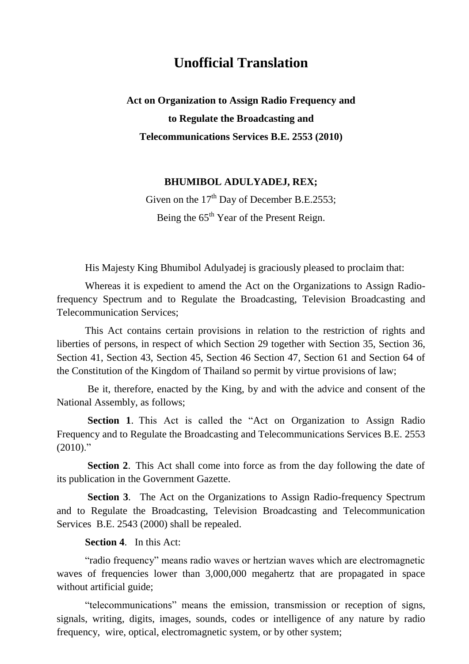# **Unofficial Translation**

**Act on Organization to Assign Radio Frequency and to Regulate the Broadcasting and Telecommunications Services B.E. 2553 (2010)**

## **BHUMIBOL ADULYADEJ, REX;**

Given on the  $17<sup>th</sup>$  Day of December B.E.2553; Being the 65<sup>th</sup> Year of the Present Reign.

His Majesty King Bhumibol Adulyadej is graciously pleased to proclaim that:

Whereas it is expedient to amend the Act on the Organizations to Assign Radiofrequency Spectrum and to Regulate the Broadcasting, Television Broadcasting and Telecommunication Services;

This Act contains certain provisions in relation to the restriction of rights and liberties of persons, in respect of which Section 29 together with Section 35, Section 36, Section 41, Section 43, Section 45, Section 46 Section 47, Section 61 and Section 64 of the Constitution of the Kingdom of Thailand so permit by virtue provisions of law;

Be it, therefore, enacted by the King, by and with the advice and consent of the National Assembly, as follows;

**Section 1**. This Act is called the "Act on Organization to Assign Radio Frequency and to Regulate the Broadcasting and Telecommunications Services B.E. 2553  $(2010)$ ."

**Section 2**. This Act shall come into force as from the day following the date of its publication in the Government Gazette.

**Section 3**. The Act on the Organizations to Assign Radio-frequency Spectrum and to Regulate the Broadcasting, Television Broadcasting and Telecommunication Services B.E. 2543 (2000) shall be repealed.

### **Section 4**. In this Act:

"radio frequency" means radio waves or hertzian waves which are electromagnetic waves of frequencies lower than 3,000,000 megahertz that are propagated in space without artificial guide;

"telecommunications" means the emission, transmission or reception of signs, signals, writing, digits, images, sounds, codes or intelligence of any nature by radio frequency, wire, optical, electromagnetic system, or by other system;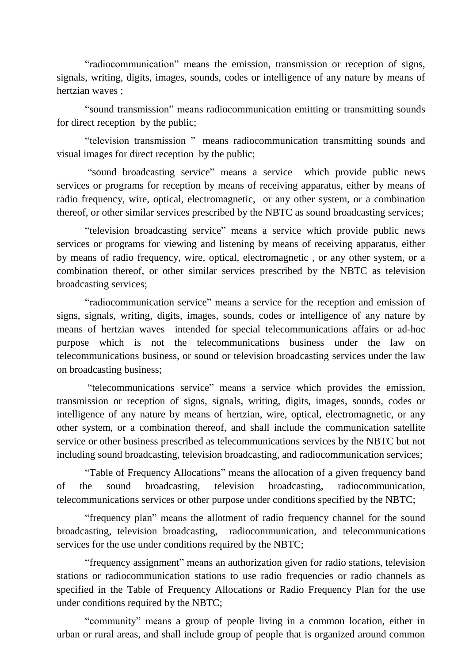"radiocommunication" means the emission, transmission or reception of signs, signals, writing, digits, images, sounds, codes or intelligence of any nature by means of hertzian waves ;

"sound transmission" means radiocommunication emitting or transmitting sounds for direct reception by the public;

"television transmission " means radiocommunication transmitting sounds and visual images for direct reception by the public;

"sound broadcasting service" means a service which provide public news services or programs for reception by means of receiving apparatus, either by means of radio frequency, wire, optical, electromagnetic, or any other system, or a combination thereof, or other similar services prescribed by the NBTC as sound broadcasting services;

"television broadcasting service" means a service which provide public news services or programs for viewing and listening by means of receiving apparatus, either by means of radio frequency, wire, optical, electromagnetic , or any other system, or a combination thereof, or other similar services prescribed by the NBTC as television broadcasting services;

"radiocommunication service" means a service for the reception and emission of signs, signals, writing, digits, images, sounds, codes or intelligence of any nature by means of hertzian waves intended for special telecommunications affairs or ad-hoc purpose which is not the telecommunications business under the law on telecommunications business, or sound or television broadcasting services under the law on broadcasting business;

"telecommunications service" means a service which provides the emission, transmission or reception of signs, signals, writing, digits, images, sounds, codes or intelligence of any nature by means of hertzian, wire, optical, electromagnetic, or any other system, or a combination thereof, and shall include the communication satellite service or other business prescribed as telecommunications services by the NBTC but not including sound broadcasting, television broadcasting, and radiocommunication services;

"Table of Frequency Allocations" means the allocation of a given frequency band of the sound broadcasting, television broadcasting, radiocommunication, telecommunications services or other purpose under conditions specified by the NBTC;

"frequency plan" means the allotment of radio frequency channel for the sound broadcasting, television broadcasting, radiocommunication, and telecommunications services for the use under conditions required by the NBTC;

"frequency assignment" means an authorization given for radio stations, television stations or radiocommunication stations to use radio frequencies or radio channels as specified in the Table of Frequency Allocations or Radio Frequency Plan for the use under conditions required by the NBTC;

"community" means a group of people living in a common location, either in urban or rural areas, and shall include group of people that is organized around common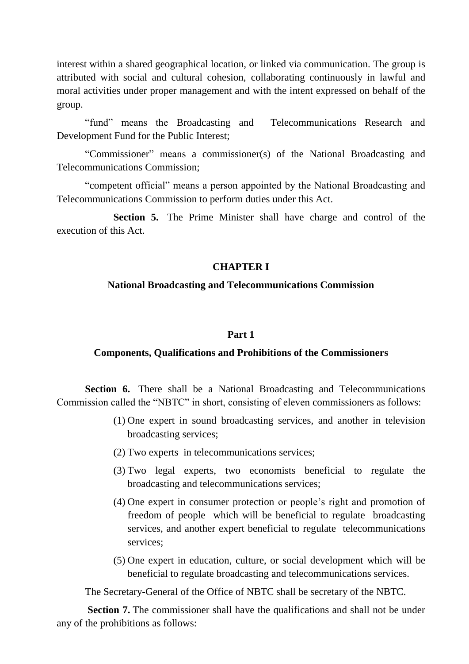interest within a shared geographical location, or linked via communication. The group is attributed with social and cultural cohesion, collaborating continuously in lawful and moral activities under proper management and with the intent expressed on behalf of the group.

"fund" means the Broadcasting and Telecommunications Research and Development Fund for the Public Interest;

"Commissioner" means a commissioner(s) of the National Broadcasting and Telecommunications Commission;

"competent official" means a person appointed by the National Broadcasting and Telecommunications Commission to perform duties under this Act.

 **Section 5.** The Prime Minister shall have charge and control of the execution of this Act.

# **CHAPTER I**

# **National Broadcasting and Telecommunications Commission**

## **Part 1**

# **Components, Qualifications and Prohibitions of the Commissioners**

**Section 6.** There shall be a National Broadcasting and Telecommunications Commission called the "NBTC" in short, consisting of eleven commissioners as follows:

- (1) One expert in sound broadcasting services, and another in television broadcasting services;
- (2) Two experts in telecommunications services;
- (3) Two legal experts, two economists beneficial to regulate the broadcasting and telecommunications services;
- (4) One expert in consumer protection or people's right and promotion of freedom of people which will be beneficial to regulate broadcasting services, and another expert beneficial to regulate telecommunications services;
- (5) One expert in education, culture, or social development which will be beneficial to regulate broadcasting and telecommunications services.

The Secretary-General of the Office of NBTC shall be secretary of the NBTC.

**Section 7.** The commissioner shall have the qualifications and shall not be under any of the prohibitions as follows: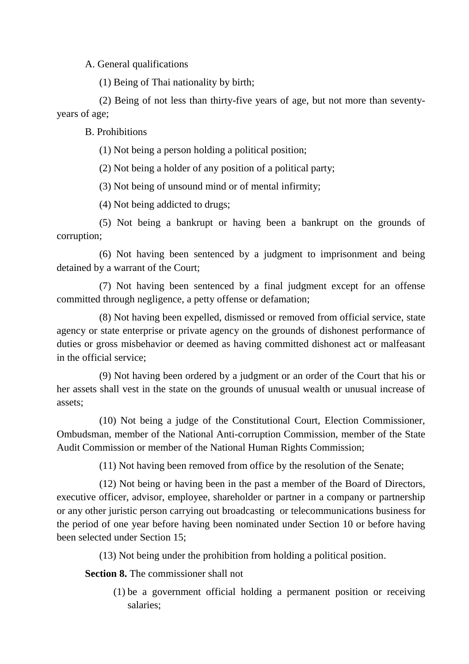A. General qualifications

(1) Being of Thai nationality by birth;

(2) Being of not less than thirty-five years of age, but not more than seventyyears of age;

B. Prohibitions

(1) Not being a person holding a political position;

(2) Not being a holder of any position of a political party;

(3) Not being of unsound mind or of mental infirmity;

(4) Not being addicted to drugs;

(5) Not being a bankrupt or having been a bankrupt on the grounds of corruption;

(6) Not having been sentenced by a judgment to imprisonment and being detained by a warrant of the Court;

(7) Not having been sentenced by a final judgment except for an offense committed through negligence, a petty offense or defamation;

(8) Not having been expelled, dismissed or removed from official service, state agency or state enterprise or private agency on the grounds of dishonest performance of duties or gross misbehavior or deemed as having committed dishonest act or malfeasant in the official service;

(9) Not having been ordered by a judgment or an order of the Court that his or her assets shall vest in the state on the grounds of unusual wealth or unusual increase of assets;

(10) Not being a judge of the Constitutional Court, Election Commissioner, Ombudsman, member of the National Anti-corruption Commission, member of the State Audit Commission or member of the National Human Rights Commission;

(11) Not having been removed from office by the resolution of the Senate;

(12) Not being or having been in the past a member of the Board of Directors, executive officer, advisor, employee, shareholder or partner in a company or partnership or any other juristic person carrying out broadcasting or telecommunications business for the period of one year before having been nominated under Section 10 or before having been selected under Section 15;

(13) Not being under the prohibition from holding a political position.

**Section 8.** The commissioner shall not

(1) be a government official holding a permanent position or receiving salaries;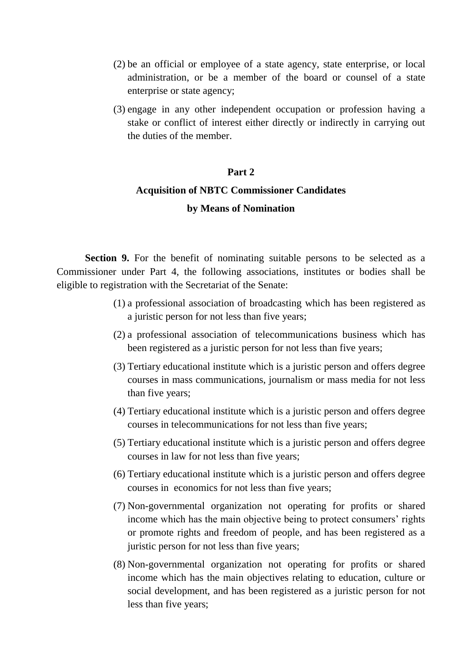- (2) be an official or employee of a state agency, state enterprise, or local administration, or be a member of the board or counsel of a state enterprise or state agency;
- (3) engage in any other independent occupation or profession having a stake or conflict of interest either directly or indirectly in carrying out the duties of the member.

### **Part 2**

# **Acquisition of NBTC Commissioner Candidates by Means of Nomination**

**Section 9.** For the benefit of nominating suitable persons to be selected as a Commissioner under Part 4, the following associations, institutes or bodies shall be eligible to registration with the Secretariat of the Senate:

- (1) a professional association of broadcasting which has been registered as a juristic person for not less than five years;
- (2) a professional association of telecommunications business which has been registered as a juristic person for not less than five years;
- (3) Tertiary educational institute which is a juristic person and offers degree courses in mass communications, journalism or mass media for not less than five years;
- (4) Tertiary educational institute which is a juristic person and offers degree courses in telecommunications for not less than five years;
- (5) Tertiary educational institute which is a juristic person and offers degree courses in law for not less than five years;
- (6) Tertiary educational institute which is a juristic person and offers degree courses in economics for not less than five years;
- (7) Non-governmental organization not operating for profits or shared income which has the main objective being to protect consumers' rights or promote rights and freedom of people, and has been registered as a juristic person for not less than five years;
- (8) Non-governmental organization not operating for profits or shared income which has the main objectives relating to education, culture or social development, and has been registered as a juristic person for not less than five years;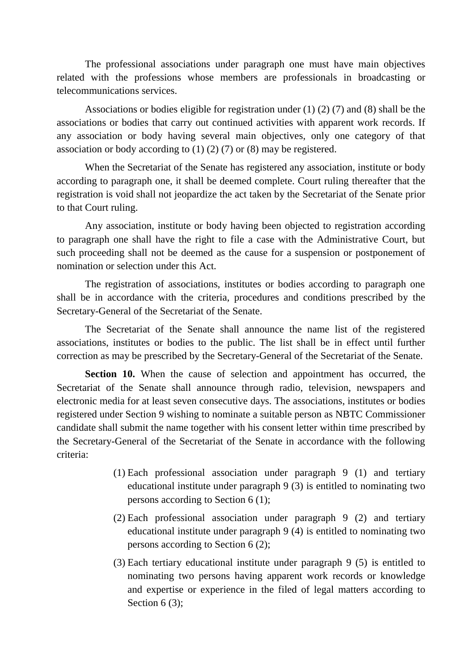The professional associations under paragraph one must have main objectives related with the professions whose members are professionals in broadcasting or telecommunications services.

Associations or bodies eligible for registration under (1) (2) (7) and (8) shall be the associations or bodies that carry out continued activities with apparent work records. If any association or body having several main objectives, only one category of that association or body according to (1) (2) (7) or (8) may be registered.

When the Secretariat of the Senate has registered any association, institute or body according to paragraph one, it shall be deemed complete. Court ruling thereafter that the registration is void shall not jeopardize the act taken by the Secretariat of the Senate prior to that Court ruling.

Any association, institute or body having been objected to registration according to paragraph one shall have the right to file a case with the Administrative Court, but such proceeding shall not be deemed as the cause for a suspension or postponement of nomination or selection under this Act.

The registration of associations, institutes or bodies according to paragraph one shall be in accordance with the criteria, procedures and conditions prescribed by the Secretary-General of the Secretariat of the Senate.

The Secretariat of the Senate shall announce the name list of the registered associations, institutes or bodies to the public. The list shall be in effect until further correction as may be prescribed by the Secretary-General of the Secretariat of the Senate.

**Section 10.** When the cause of selection and appointment has occurred, the Secretariat of the Senate shall announce through radio, television, newspapers and electronic media for at least seven consecutive days. The associations, institutes or bodies registered under Section 9 wishing to nominate a suitable person as NBTC Commissioner candidate shall submit the name together with his consent letter within time prescribed by the Secretary-General of the Secretariat of the Senate in accordance with the following criteria:

- (1) Each professional association under paragraph 9 (1) and tertiary educational institute under paragraph 9 (3) is entitled to nominating two persons according to Section 6 (1);
- (2) Each professional association under paragraph 9 (2) and tertiary educational institute under paragraph 9 (4) is entitled to nominating two persons according to Section 6 (2);
- (3) Each tertiary educational institute under paragraph 9 (5) is entitled to nominating two persons having apparent work records or knowledge and expertise or experience in the filed of legal matters according to Section 6 (3):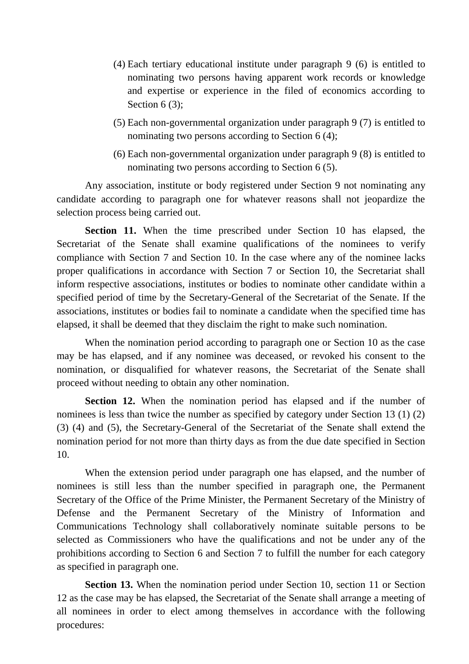- (4) Each tertiary educational institute under paragraph 9 (6) is entitled to nominating two persons having apparent work records or knowledge and expertise or experience in the filed of economics according to Section 6 (3);
- (5) Each non-governmental organization under paragraph 9 (7) is entitled to nominating two persons according to Section 6 (4);
- (6) Each non-governmental organization under paragraph 9 (8) is entitled to nominating two persons according to Section 6 (5).

Any association, institute or body registered under Section 9 not nominating any candidate according to paragraph one for whatever reasons shall not jeopardize the selection process being carried out.

**Section 11.** When the time prescribed under Section 10 has elapsed, the Secretariat of the Senate shall examine qualifications of the nominees to verify compliance with Section 7 and Section 10. In the case where any of the nominee lacks proper qualifications in accordance with Section 7 or Section 10, the Secretariat shall inform respective associations, institutes or bodies to nominate other candidate within a specified period of time by the Secretary-General of the Secretariat of the Senate. If the associations, institutes or bodies fail to nominate a candidate when the specified time has elapsed, it shall be deemed that they disclaim the right to make such nomination.

When the nomination period according to paragraph one or Section 10 as the case may be has elapsed, and if any nominee was deceased, or revoked his consent to the nomination, or disqualified for whatever reasons, the Secretariat of the Senate shall proceed without needing to obtain any other nomination.

**Section 12.** When the nomination period has elapsed and if the number of nominees is less than twice the number as specified by category under Section 13 (1) (2) (3) (4) and (5), the Secretary-General of the Secretariat of the Senate shall extend the nomination period for not more than thirty days as from the due date specified in Section 10.

When the extension period under paragraph one has elapsed, and the number of nominees is still less than the number specified in paragraph one, the Permanent Secretary of the Office of the Prime Minister, the Permanent Secretary of the Ministry of Defense and the Permanent Secretary of the Ministry of Information and Communications Technology shall collaboratively nominate suitable persons to be selected as Commissioners who have the qualifications and not be under any of the prohibitions according to Section 6 and Section 7 to fulfill the number for each category as specified in paragraph one.

**Section 13.** When the nomination period under Section 10, section 11 or Section 12 as the case may be has elapsed, the Secretariat of the Senate shall arrange a meeting of all nominees in order to elect among themselves in accordance with the following procedures: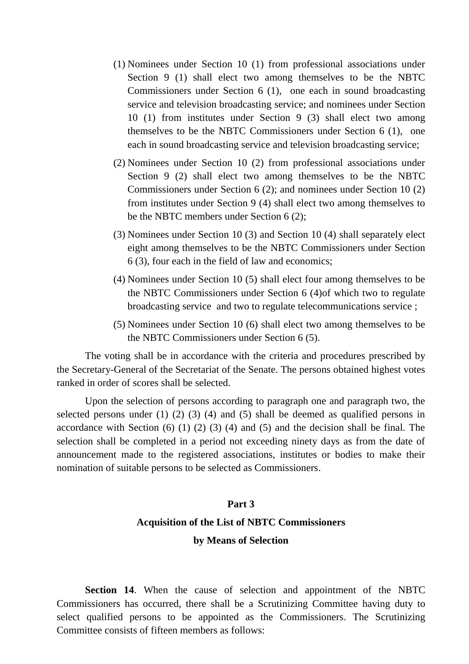- (1) Nominees under Section 10 (1) from professional associations under Section 9 (1) shall elect two among themselves to be the NBTC Commissioners under Section 6 (1), one each in sound broadcasting service and television broadcasting service; and nominees under Section 10 (1) from institutes under Section 9 (3) shall elect two among themselves to be the NBTC Commissioners under Section 6 (1), one each in sound broadcasting service and television broadcasting service;
- (2) Nominees under Section 10 (2) from professional associations under Section 9 (2) shall elect two among themselves to be the NBTC Commissioners under Section 6 (2); and nominees under Section 10 (2) from institutes under Section 9 (4) shall elect two among themselves to be the NBTC members under Section 6 (2);
- (3) Nominees under Section 10 (3) and Section 10 (4) shall separately elect eight among themselves to be the NBTC Commissioners under Section 6 (3), four each in the field of law and economics;
- (4) Nominees under Section 10 (5) shall elect four among themselves to be the NBTC Commissioners under Section 6 (4)of which two to regulate broadcasting service and two to regulate telecommunications service ;
- (5) Nominees under Section 10 (6) shall elect two among themselves to be the NBTC Commissioners under Section 6 (5).

The voting shall be in accordance with the criteria and procedures prescribed by the Secretary-General of the Secretariat of the Senate. The persons obtained highest votes ranked in order of scores shall be selected.

Upon the selection of persons according to paragraph one and paragraph two, the selected persons under (1) (2) (3) (4) and (5) shall be deemed as qualified persons in accordance with Section (6) (1) (2) (3) (4) and (5) and the decision shall be final. The selection shall be completed in a period not exceeding ninety days as from the date of announcement made to the registered associations, institutes or bodies to make their nomination of suitable persons to be selected as Commissioners.

#### **Part 3**

### **Acquisition of the List of NBTC Commissioners**

### **by Means of Selection**

**Section 14**. When the cause of selection and appointment of the NBTC Commissioners has occurred, there shall be a Scrutinizing Committee having duty to select qualified persons to be appointed as the Commissioners. The Scrutinizing Committee consists of fifteen members as follows: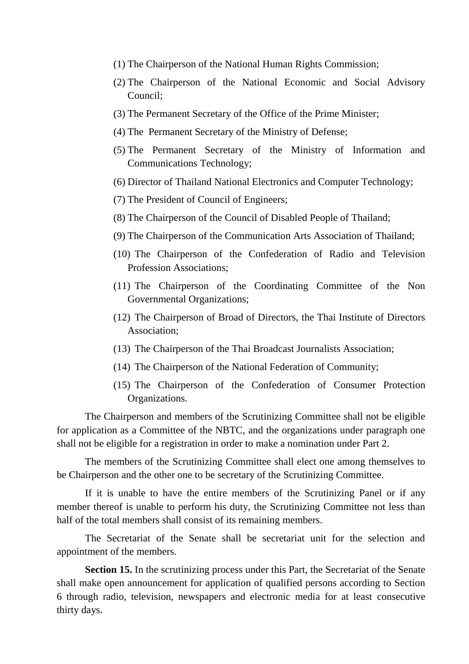- (1) The Chairperson of the National Human Rights Commission;
- (2) The Chairperson of the National Economic and Social Advisory Council;
- (3) The Permanent Secretary of the Office of the Prime Minister;
- (4) The Permanent Secretary of the Ministry of Defense;
- (5) The Permanent Secretary of the Ministry of Information and Communications Technology;
- (6) Director of Thailand National Electronics and Computer Technology;
- (7) The President of Council of Engineers;
- (8) The Chairperson of the Council of Disabled People of Thailand;
- (9) The Chairperson of the Communication Arts Association of Thailand;
- (10) The Chairperson of the Confederation of Radio and Television Profession Associations;
- (11) The Chairperson of the Coordinating Committee of the Non Governmental Organizations;
- (12) The Chairperson of Broad of Directors, the Thai Institute of Directors Association;
- (13) The Chairperson of the Thai Broadcast Journalists Association;
- (14) The Chairperson of the National Federation of Community;
- (15) The Chairperson of the Confederation of Consumer Protection Organizations.

The Chairperson and members of the Scrutinizing Committee shall not be eligible for application as a Committee of the NBTC, and the organizations under paragraph one shall not be eligible for a registration in order to make a nomination under Part 2.

The members of the Scrutinizing Committee shall elect one among themselves to be Chairperson and the other one to be secretary of the Scrutinizing Committee.

If it is unable to have the entire members of the Scrutinizing Panel or if any member thereof is unable to perform his duty, the Scrutinizing Committee not less than half of the total members shall consist of its remaining members.

The Secretariat of the Senate shall be secretariat unit for the selection and appointment of the members.

**Section 15.** In the scrutinizing process under this Part, the Secretariat of the Senate shall make open announcement for application of qualified persons according to Section 6 through radio, television, newspapers and electronic media for at least consecutive thirty days.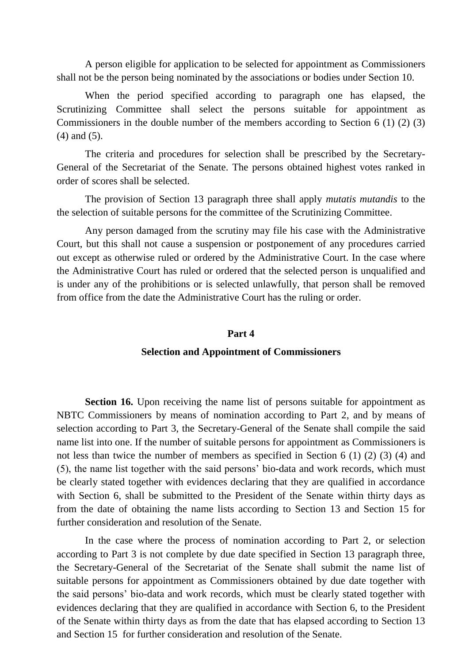A person eligible for application to be selected for appointment as Commissioners shall not be the person being nominated by the associations or bodies under Section 10.

When the period specified according to paragraph one has elapsed, the Scrutinizing Committee shall select the persons suitable for appointment as Commissioners in the double number of the members according to Section 6 (1) (2) (3) (4) and (5).

The criteria and procedures for selection shall be prescribed by the Secretary-General of the Secretariat of the Senate. The persons obtained highest votes ranked in order of scores shall be selected.

The provision of Section 13 paragraph three shall apply *mutatis mutandis* to the the selection of suitable persons for the committee of the Scrutinizing Committee.

Any person damaged from the scrutiny may file his case with the Administrative Court, but this shall not cause a suspension or postponement of any procedures carried out except as otherwise ruled or ordered by the Administrative Court. In the case where the Administrative Court has ruled or ordered that the selected person is unqualified and is under any of the prohibitions or is selected unlawfully, that person shall be removed from office from the date the Administrative Court has the ruling or order.

#### **Part 4**

#### **Selection and Appointment of Commissioners**

**Section 16.** Upon receiving the name list of persons suitable for appointment as NBTC Commissioners by means of nomination according to Part 2, and by means of selection according to Part 3, the Secretary-General of the Senate shall compile the said name list into one. If the number of suitable persons for appointment as Commissioners is not less than twice the number of members as specified in Section 6 (1) (2) (3) (4) and (5), the name list together with the said persons' bio-data and work records, which must be clearly stated together with evidences declaring that they are qualified in accordance with Section 6, shall be submitted to the President of the Senate within thirty days as from the date of obtaining the name lists according to Section 13 and Section 15 for further consideration and resolution of the Senate.

In the case where the process of nomination according to Part 2, or selection according to Part 3 is not complete by due date specified in Section 13 paragraph three, the Secretary-General of the Secretariat of the Senate shall submit the name list of suitable persons for appointment as Commissioners obtained by due date together with the said persons' bio-data and work records, which must be clearly stated together with evidences declaring that they are qualified in accordance with Section 6, to the President of the Senate within thirty days as from the date that has elapsed according to Section 13 and Section 15 for further consideration and resolution of the Senate.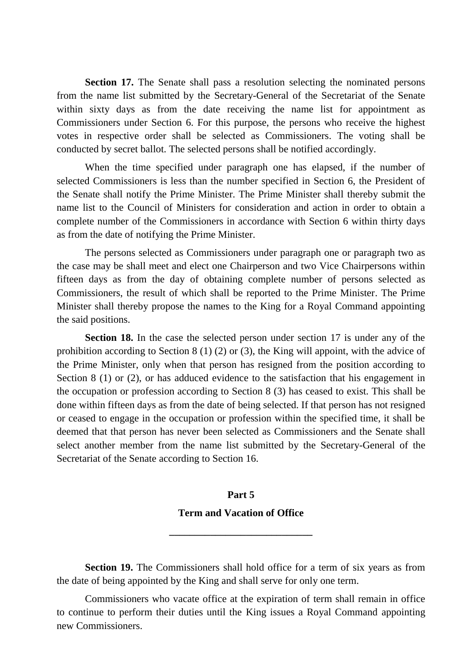**Section 17.** The Senate shall pass a resolution selecting the nominated persons from the name list submitted by the Secretary-General of the Secretariat of the Senate within sixty days as from the date receiving the name list for appointment as Commissioners under Section 6. For this purpose, the persons who receive the highest votes in respective order shall be selected as Commissioners. The voting shall be conducted by secret ballot. The selected persons shall be notified accordingly.

When the time specified under paragraph one has elapsed, if the number of selected Commissioners is less than the number specified in Section 6, the President of the Senate shall notify the Prime Minister. The Prime Minister shall thereby submit the name list to the Council of Ministers for consideration and action in order to obtain a complete number of the Commissioners in accordance with Section 6 within thirty days as from the date of notifying the Prime Minister.

The persons selected as Commissioners under paragraph one or paragraph two as the case may be shall meet and elect one Chairperson and two Vice Chairpersons within fifteen days as from the day of obtaining complete number of persons selected as Commissioners, the result of which shall be reported to the Prime Minister. The Prime Minister shall thereby propose the names to the King for a Royal Command appointing the said positions.

**Section 18.** In the case the selected person under section 17 is under any of the prohibition according to Section 8 (1) (2) or (3), the King will appoint, with the advice of the Prime Minister, only when that person has resigned from the position according to Section 8 (1) or (2), or has adduced evidence to the satisfaction that his engagement in the occupation or profession according to Section 8 (3) has ceased to exist. This shall be done within fifteen days as from the date of being selected. If that person has not resigned or ceased to engage in the occupation or profession within the specified time, it shall be deemed that that person has never been selected as Commissioners and the Senate shall select another member from the name list submitted by the Secretary-General of the Secretariat of the Senate according to Section 16.

# **Part 5 Term and Vacation of Office**

**\_\_\_\_\_\_\_\_\_\_\_\_\_\_\_\_\_\_\_\_\_\_\_\_\_\_\_\_**

**Section 19.** The Commissioners shall hold office for a term of six years as from the date of being appointed by the King and shall serve for only one term.

Commissioners who vacate office at the expiration of term shall remain in office to continue to perform their duties until the King issues a Royal Command appointing new Commissioners.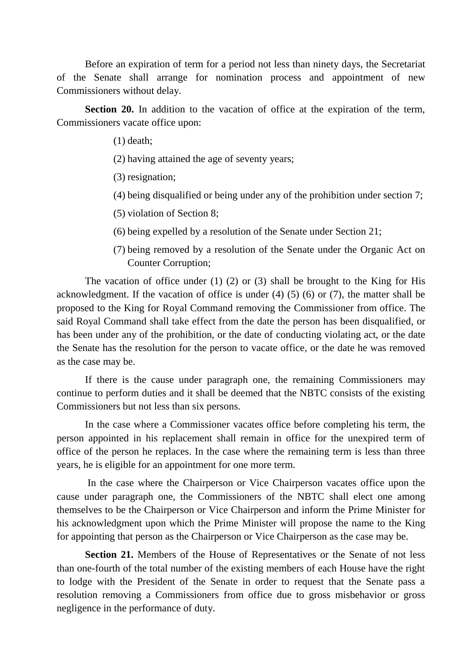Before an expiration of term for a period not less than ninety days, the Secretariat of the Senate shall arrange for nomination process and appointment of new Commissioners without delay.

**Section 20.** In addition to the vacation of office at the expiration of the term, Commissioners vacate office upon:

(1) death;

- (2) having attained the age of seventy years;
- (3) resignation;
- (4) being disqualified or being under any of the prohibition under section 7;
- (5) violation of Section 8;
- (6) being expelled by a resolution of the Senate under Section 21;
- (7) being removed by a resolution of the Senate under the Organic Act on Counter Corruption;

The vacation of office under (1) (2) or (3) shall be brought to the King for His acknowledgment. If the vacation of office is under (4) (5) (6) or (7), the matter shall be proposed to the King for Royal Command removing the Commissioner from office. The said Royal Command shall take effect from the date the person has been disqualified, or has been under any of the prohibition, or the date of conducting violating act, or the date the Senate has the resolution for the person to vacate office, or the date he was removed as the case may be.

If there is the cause under paragraph one, the remaining Commissioners may continue to perform duties and it shall be deemed that the NBTC consists of the existing Commissioners but not less than six persons.

In the case where a Commissioner vacates office before completing his term, the person appointed in his replacement shall remain in office for the unexpired term of office of the person he replaces. In the case where the remaining term is less than three years, he is eligible for an appointment for one more term.

In the case where the Chairperson or Vice Chairperson vacates office upon the cause under paragraph one, the Commissioners of the NBTC shall elect one among themselves to be the Chairperson or Vice Chairperson and inform the Prime Minister for his acknowledgment upon which the Prime Minister will propose the name to the King for appointing that person as the Chairperson or Vice Chairperson as the case may be.

**Section 21.** Members of the House of Representatives or the Senate of not less than one-fourth of the total number of the existing members of each House have the right to lodge with the President of the Senate in order to request that the Senate pass a resolution removing a Commissioners from office due to gross misbehavior or gross negligence in the performance of duty.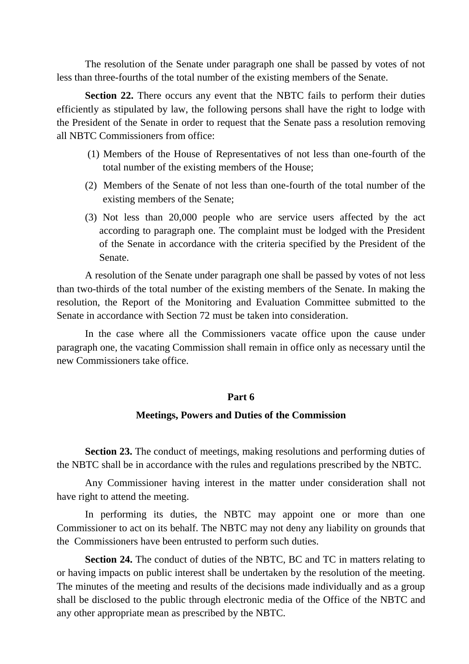The resolution of the Senate under paragraph one shall be passed by votes of not less than three-fourths of the total number of the existing members of the Senate.

**Section 22.** There occurs any event that the NBTC fails to perform their duties efficiently as stipulated by law, the following persons shall have the right to lodge with the President of the Senate in order to request that the Senate pass a resolution removing all NBTC Commissioners from office:

- (1) Members of the House of Representatives of not less than one-fourth of the total number of the existing members of the House;
- (2) Members of the Senate of not less than one-fourth of the total number of the existing members of the Senate;
- (3) Not less than 20,000 people who are service users affected by the act according to paragraph one. The complaint must be lodged with the President of the Senate in accordance with the criteria specified by the President of the Senate.

A resolution of the Senate under paragraph one shall be passed by votes of not less than two-thirds of the total number of the existing members of the Senate. In making the resolution, the Report of the Monitoring and Evaluation Committee submitted to the Senate in accordance with Section 72 must be taken into consideration.

In the case where all the Commissioners vacate office upon the cause under paragraph one, the vacating Commission shall remain in office only as necessary until the new Commissioners take office.

## **Part 6**

## **Meetings, Powers and Duties of the Commission**

**Section 23.** The conduct of meetings, making resolutions and performing duties of the NBTC shall be in accordance with the rules and regulations prescribed by the NBTC.

Any Commissioner having interest in the matter under consideration shall not have right to attend the meeting.

In performing its duties, the NBTC may appoint one or more than one Commissioner to act on its behalf. The NBTC may not deny any liability on grounds that the Commissioners have been entrusted to perform such duties.

**Section 24.** The conduct of duties of the NBTC, BC and TC in matters relating to or having impacts on public interest shall be undertaken by the resolution of the meeting. The minutes of the meeting and results of the decisions made individually and as a group shall be disclosed to the public through electronic media of the Office of the NBTC and any other appropriate mean as prescribed by the NBTC.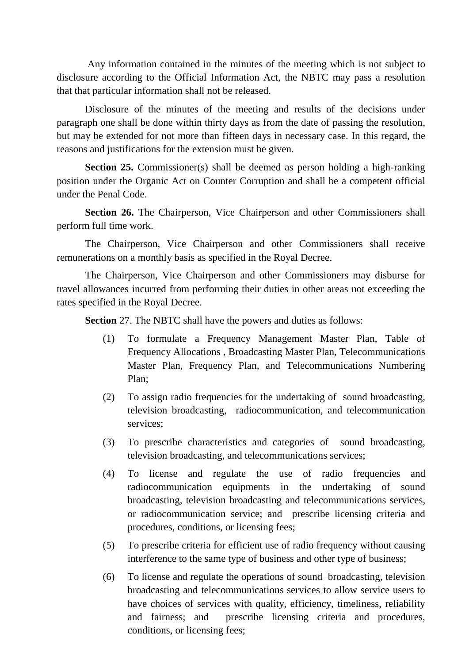Any information contained in the minutes of the meeting which is not subject to disclosure according to the Official Information Act, the NBTC may pass a resolution that that particular information shall not be released.

Disclosure of the minutes of the meeting and results of the decisions under paragraph one shall be done within thirty days as from the date of passing the resolution, but may be extended for not more than fifteen days in necessary case. In this regard, the reasons and justifications for the extension must be given.

**Section 25.** Commissioner(s) shall be deemed as person holding a high-ranking position under the Organic Act on Counter Corruption and shall be a competent official under the Penal Code.

**Section 26.** The Chairperson, Vice Chairperson and other Commissioners shall perform full time work.

The Chairperson, Vice Chairperson and other Commissioners shall receive remunerations on a monthly basis as specified in the Royal Decree.

The Chairperson, Vice Chairperson and other Commissioners may disburse for travel allowances incurred from performing their duties in other areas not exceeding the rates specified in the Royal Decree.

**Section** 27. The NBTC shall have the powers and duties as follows:

- (1) To formulate a Frequency Management Master Plan, Table of Frequency Allocations , Broadcasting Master Plan, Telecommunications Master Plan, Frequency Plan, and Telecommunications Numbering Plan;
- (2) To assign radio frequencies for the undertaking of sound broadcasting, television broadcasting, radiocommunication, and telecommunication services;
- (3) To prescribe characteristics and categories of sound broadcasting, television broadcasting, and telecommunications services;
- (4) To license and regulate the use of radio frequencies and radiocommunication equipments in the undertaking of sound broadcasting, television broadcasting and telecommunications services, or radiocommunication service; and prescribe licensing criteria and procedures, conditions, or licensing fees;
- (5) To prescribe criteria for efficient use of radio frequency without causing interference to the same type of business and other type of business;
- (6) To license and regulate the operations of sound broadcasting, television broadcasting and telecommunications services to allow service users to have choices of services with quality, efficiency, timeliness, reliability and fairness; and prescribe licensing criteria and procedures, conditions, or licensing fees;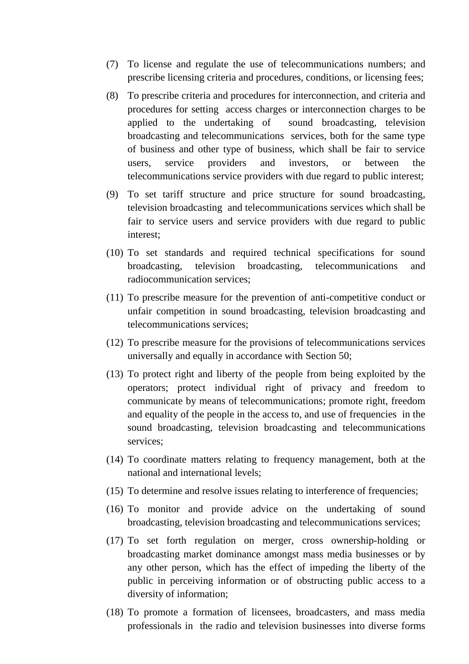- (7) To license and regulate the use of telecommunications numbers; and prescribe licensing criteria and procedures, conditions, or licensing fees;
- (8) To prescribe criteria and procedures for interconnection, and criteria and procedures for setting access charges or interconnection charges to be applied to the undertaking of sound broadcasting, television broadcasting and telecommunications services, both for the same type of business and other type of business, which shall be fair to service users, service providers and investors, or between the telecommunications service providers with due regard to public interest;
- (9) To set tariff structure and price structure for sound broadcasting, television broadcasting and telecommunications services which shall be fair to service users and service providers with due regard to public interest;
- (10) To set standards and required technical specifications for sound broadcasting, television broadcasting, telecommunications and radiocommunication services;
- (11) To prescribe measure for the prevention of anti-competitive conduct or unfair competition in sound broadcasting, television broadcasting and telecommunications services;
- (12) To prescribe measure for the provisions of telecommunications services universally and equally in accordance with Section 50;
- (13) To protect right and liberty of the people from being exploited by the operators; protect individual right of privacy and freedom to communicate by means of telecommunications; promote right, freedom and equality of the people in the access to, and use of frequencies in the sound broadcasting, television broadcasting and telecommunications services;
- (14) To coordinate matters relating to frequency management, both at the national and international levels;
- (15) To determine and resolve issues relating to interference of frequencies;
- (16) To monitor and provide advice on the undertaking of sound broadcasting, television broadcasting and telecommunications services;
- (17) To set forth regulation on merger, cross ownership-holding or broadcasting market dominance amongst mass media businesses or by any other person, which has the effect of impeding the liberty of the public in perceiving information or of obstructing public access to a diversity of information;
- (18) To promote a formation of licensees, broadcasters, and mass media professionals in the radio and television businesses into diverse forms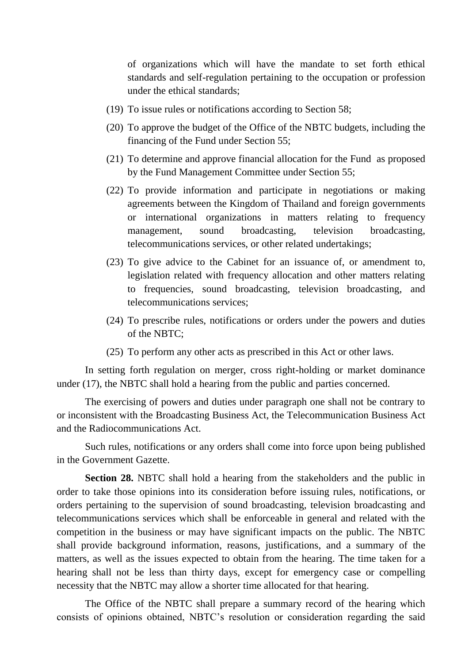of organizations which will have the mandate to set forth ethical standards and self-regulation pertaining to the occupation or profession under the ethical standards;

- (19) To issue rules or notifications according to Section 58;
- (20) To approve the budget of the Office of the NBTC budgets, including the financing of the Fund under Section 55;
- (21) To determine and approve financial allocation for the Fund as proposed by the Fund Management Committee under Section 55;
- (22) To provide information and participate in negotiations or making agreements between the Kingdom of Thailand and foreign governments or international organizations in matters relating to frequency management, sound broadcasting, television broadcasting, telecommunications services, or other related undertakings;
- (23) To give advice to the Cabinet for an issuance of, or amendment to, legislation related with frequency allocation and other matters relating to frequencies, sound broadcasting, television broadcasting, and telecommunications services;
- (24) To prescribe rules, notifications or orders under the powers and duties of the NBTC;
- (25) To perform any other acts as prescribed in this Act or other laws.

In setting forth regulation on merger, cross right-holding or market dominance under (17), the NBTC shall hold a hearing from the public and parties concerned.

The exercising of powers and duties under paragraph one shall not be contrary to or inconsistent with the Broadcasting Business Act, the Telecommunication Business Act and the Radiocommunications Act.

Such rules, notifications or any orders shall come into force upon being published in the Government Gazette.

**Section 28.** NBTC shall hold a hearing from the stakeholders and the public in order to take those opinions into its consideration before issuing rules, notifications, or orders pertaining to the supervision of sound broadcasting, television broadcasting and telecommunications services which shall be enforceable in general and related with the competition in the business or may have significant impacts on the public. The NBTC shall provide background information, reasons, justifications, and a summary of the matters, as well as the issues expected to obtain from the hearing. The time taken for a hearing shall not be less than thirty days, except for emergency case or compelling necessity that the NBTC may allow a shorter time allocated for that hearing.

The Office of the NBTC shall prepare a summary record of the hearing which consists of opinions obtained, NBTC's resolution or consideration regarding the said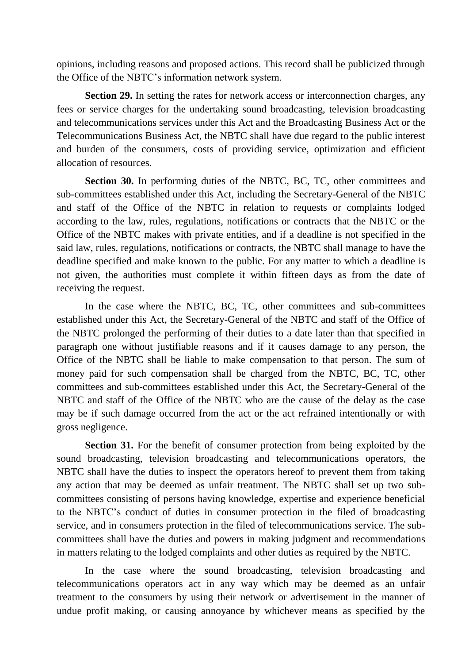opinions, including reasons and proposed actions. This record shall be publicized through the Office of the NBTC's information network system.

**Section 29.** In setting the rates for network access or interconnection charges, any fees or service charges for the undertaking sound broadcasting, television broadcasting and telecommunications services under this Act and the Broadcasting Business Act or the Telecommunications Business Act, the NBTC shall have due regard to the public interest and burden of the consumers, costs of providing service, optimization and efficient allocation of resources.

**Section 30.** In performing duties of the NBTC, BC, TC, other committees and sub-committees established under this Act, including the Secretary-General of the NBTC and staff of the Office of the NBTC in relation to requests or complaints lodged according to the law, rules, regulations, notifications or contracts that the NBTC or the Office of the NBTC makes with private entities, and if a deadline is not specified in the said law, rules, regulations, notifications or contracts, the NBTC shall manage to have the deadline specified and make known to the public. For any matter to which a deadline is not given, the authorities must complete it within fifteen days as from the date of receiving the request.

In the case where the NBTC, BC, TC, other committees and sub-committees established under this Act, the Secretary-General of the NBTC and staff of the Office of the NBTC prolonged the performing of their duties to a date later than that specified in paragraph one without justifiable reasons and if it causes damage to any person, the Office of the NBTC shall be liable to make compensation to that person. The sum of money paid for such compensation shall be charged from the NBTC, BC, TC, other committees and sub-committees established under this Act, the Secretary-General of the NBTC and staff of the Office of the NBTC who are the cause of the delay as the case may be if such damage occurred from the act or the act refrained intentionally or with gross negligence.

**Section 31.** For the benefit of consumer protection from being exploited by the sound broadcasting, television broadcasting and telecommunications operators, the NBTC shall have the duties to inspect the operators hereof to prevent them from taking any action that may be deemed as unfair treatment. The NBTC shall set up two subcommittees consisting of persons having knowledge, expertise and experience beneficial to the NBTC's conduct of duties in consumer protection in the filed of broadcasting service, and in consumers protection in the filed of telecommunications service. The subcommittees shall have the duties and powers in making judgment and recommendations in matters relating to the lodged complaints and other duties as required by the NBTC.

In the case where the sound broadcasting, television broadcasting and telecommunications operators act in any way which may be deemed as an unfair treatment to the consumers by using their network or advertisement in the manner of undue profit making, or causing annoyance by whichever means as specified by the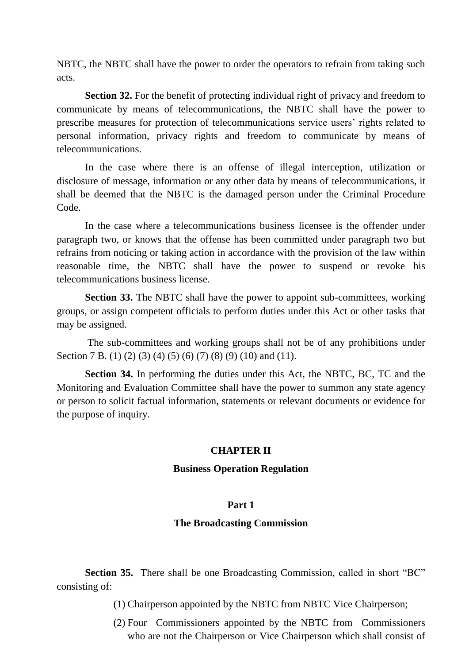NBTC, the NBTC shall have the power to order the operators to refrain from taking such acts.

**Section 32.** For the benefit of protecting individual right of privacy and freedom to communicate by means of telecommunications, the NBTC shall have the power to prescribe measures for protection of telecommunications service users' rights related to personal information, privacy rights and freedom to communicate by means of telecommunications.

In the case where there is an offense of illegal interception, utilization or disclosure of message, information or any other data by means of telecommunications, it shall be deemed that the NBTC is the damaged person under the Criminal Procedure Code.

In the case where a telecommunications business licensee is the offender under paragraph two, or knows that the offense has been committed under paragraph two but refrains from noticing or taking action in accordance with the provision of the law within reasonable time, the NBTC shall have the power to suspend or revoke his telecommunications business license.

**Section 33.** The NBTC shall have the power to appoint sub-committees, working groups, or assign competent officials to perform duties under this Act or other tasks that may be assigned.

The sub-committees and working groups shall not be of any prohibitions under Section 7 B. (1) (2) (3) (4) (5) (6) (7) (8) (9) (10) and (11).

**Section 34.** In performing the duties under this Act, the NBTC, BC, TC and the Monitoring and Evaluation Committee shall have the power to summon any state agency or person to solicit factual information, statements or relevant documents or evidence for the purpose of inquiry.

## **CHAPTER II**

## **Business Operation Regulation**

## **Part 1**

## **The Broadcasting Commission**

**Section 35.** There shall be one Broadcasting Commission, called in short "BC" consisting of:

(1) Chairperson appointed by the NBTC from NBTC Vice Chairperson;

(2) Four Commissioners appointed by the NBTC from Commissioners who are not the Chairperson or Vice Chairperson which shall consist of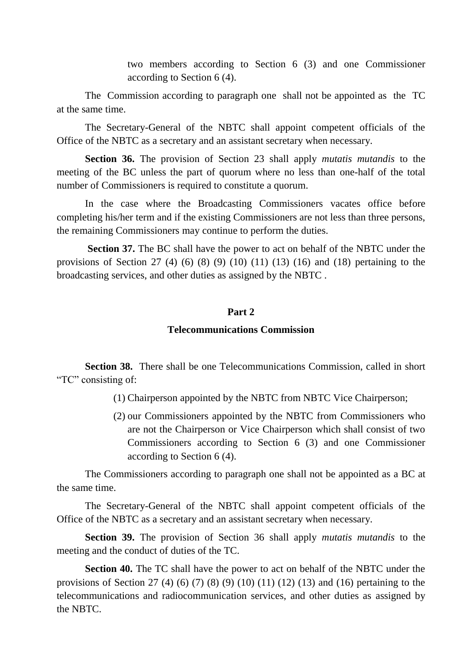two members according to Section 6 (3) and one Commissioner according to Section 6 (4).

The Commission according to paragraph one shall not be appointed as the TC at the same time.

The Secretary-General of the NBTC shall appoint competent officials of the Office of the NBTC as a secretary and an assistant secretary when necessary.

**Section 36.** The provision of Section 23 shall apply *mutatis mutandis* to the meeting of the BC unless the part of quorum where no less than one-half of the total number of Commissioners is required to constitute a quorum.

In the case where the Broadcasting Commissioners vacates office before completing his/her term and if the existing Commissioners are not less than three persons, the remaining Commissioners may continue to perform the duties.

**Section 37.** The BC shall have the power to act on behalf of the NBTC under the provisions of Section 27 (4) (6) (8) (9) (10) (11) (13) (16) and (18) pertaining to the broadcasting services, and other duties as assigned by the NBTC .

## **Part 2**

# **Telecommunications Commission**

**Section 38.** There shall be one Telecommunications Commission, called in short "TC" consisting of:

(1) Chairperson appointed by the NBTC from NBTC Vice Chairperson;

(2) our Commissioners appointed by the NBTC from Commissioners who are not the Chairperson or Vice Chairperson which shall consist of two Commissioners according to Section 6 (3) and one Commissioner according to Section 6 (4).

The Commissioners according to paragraph one shall not be appointed as a BC at the same time.

The Secretary-General of the NBTC shall appoint competent officials of the Office of the NBTC as a secretary and an assistant secretary when necessary.

**Section 39.** The provision of Section 36 shall apply *mutatis mutandis* to the meeting and the conduct of duties of the TC.

**Section 40.** The TC shall have the power to act on behalf of the NBTC under the provisions of Section 27 (4) (6) (7) (8) (9) (10) (11) (12) (13) and (16) pertaining to the telecommunications and radiocommunication services, and other duties as assigned by the NBTC.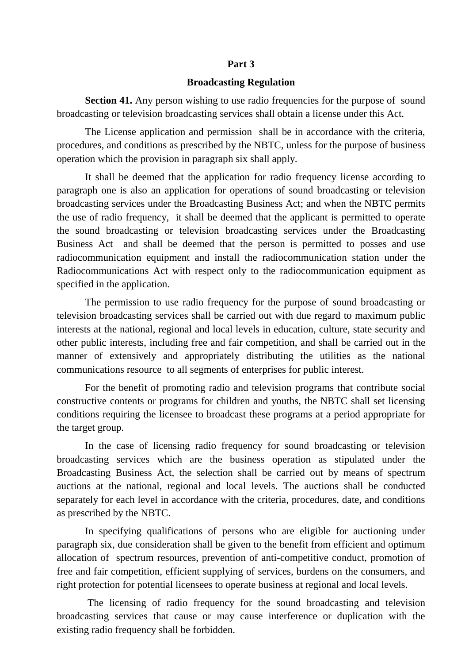#### **Part 3**

#### **Broadcasting Regulation**

**Section 41.** Any person wishing to use radio frequencies for the purpose of sound broadcasting or television broadcasting services shall obtain a license under this Act.

The License application and permission shall be in accordance with the criteria, procedures, and conditions as prescribed by the NBTC, unless for the purpose of business operation which the provision in paragraph six shall apply.

It shall be deemed that the application for radio frequency license according to paragraph one is also an application for operations of sound broadcasting or television broadcasting services under the Broadcasting Business Act; and when the NBTC permits the use of radio frequency, it shall be deemed that the applicant is permitted to operate the sound broadcasting or television broadcasting services under the Broadcasting Business Act and shall be deemed that the person is permitted to posses and use radiocommunication equipment and install the radiocommunication station under the Radiocommunications Act with respect only to the radiocommunication equipment as specified in the application.

The permission to use radio frequency for the purpose of sound broadcasting or television broadcasting services shall be carried out with due regard to maximum public interests at the national, regional and local levels in education, culture, state security and other public interests, including free and fair competition, and shall be carried out in the manner of extensively and appropriately distributing the utilities as the national communications resource to all segments of enterprises for public interest.

For the benefit of promoting radio and television programs that contribute social constructive contents or programs for children and youths, the NBTC shall set licensing conditions requiring the licensee to broadcast these programs at a period appropriate for the target group.

In the case of licensing radio frequency for sound broadcasting or television broadcasting services which are the business operation as stipulated under the Broadcasting Business Act, the selection shall be carried out by means of spectrum auctions at the national, regional and local levels. The auctions shall be conducted separately for each level in accordance with the criteria, procedures, date, and conditions as prescribed by the NBTC.

In specifying qualifications of persons who are eligible for auctioning under paragraph six, due consideration shall be given to the benefit from efficient and optimum allocation of spectrum resources, prevention of anti-competitive conduct, promotion of free and fair competition, efficient supplying of services, burdens on the consumers, and right protection for potential licensees to operate business at regional and local levels.

The licensing of radio frequency for the sound broadcasting and television broadcasting services that cause or may cause interference or duplication with the existing radio frequency shall be forbidden.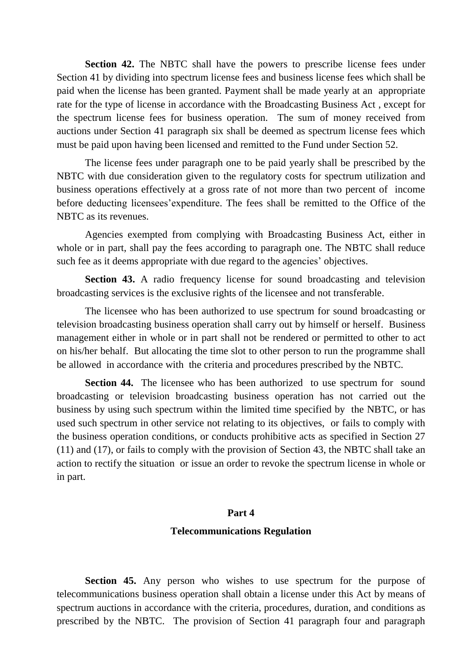**Section 42.** The NBTC shall have the powers to prescribe license fees under Section 41 by dividing into spectrum license fees and business license fees which shall be paid when the license has been granted. Payment shall be made yearly at an appropriate rate for the type of license in accordance with the Broadcasting Business Act , except for the spectrum license fees for business operation. The sum of money received from auctions under Section 41 paragraph six shall be deemed as spectrum license fees which must be paid upon having been licensed and remitted to the Fund under Section 52.

The license fees under paragraph one to be paid yearly shall be prescribed by the NBTC with due consideration given to the regulatory costs for spectrum utilization and business operations effectively at a gross rate of not more than two percent of income before deducting licensees'expenditure. The fees shall be remitted to the Office of the NBTC as its revenues.

Agencies exempted from complying with Broadcasting Business Act, either in whole or in part, shall pay the fees according to paragraph one. The NBTC shall reduce such fee as it deems appropriate with due regard to the agencies' objectives.

**Section 43.** A radio frequency license for sound broadcasting and television broadcasting services is the exclusive rights of the licensee and not transferable.

The licensee who has been authorized to use spectrum for sound broadcasting or television broadcasting business operation shall carry out by himself or herself. Business management either in whole or in part shall not be rendered or permitted to other to act on his/her behalf. But allocating the time slot to other person to run the programme shall be allowed in accordance with the criteria and procedures prescribed by the NBTC.

**Section 44.** The licensee who has been authorized to use spectrum for sound broadcasting or television broadcasting business operation has not carried out the business by using such spectrum within the limited time specified by the NBTC, or has used such spectrum in other service not relating to its objectives, or fails to comply with the business operation conditions, or conducts prohibitive acts as specified in Section 27 (11) and (17), or fails to comply with the provision of Section 43, the NBTC shall take an action to rectify the situation or issue an order to revoke the spectrum license in whole or in part.

#### **Part 4**

#### **Telecommunications Regulation**

**Section 45.** Any person who wishes to use spectrum for the purpose of telecommunications business operation shall obtain a license under this Act by means of spectrum auctions in accordance with the criteria, procedures, duration, and conditions as prescribed by the NBTC. The provision of Section 41 paragraph four and paragraph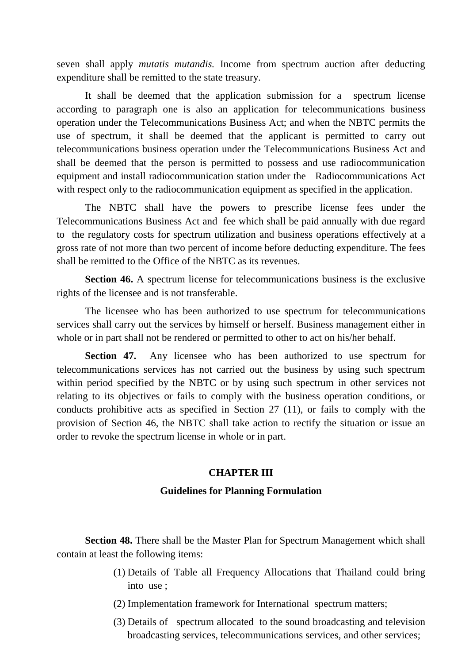seven shall apply *mutatis mutandis.* Income from spectrum auction after deducting expenditure shall be remitted to the state treasury.

It shall be deemed that the application submission for a spectrum license according to paragraph one is also an application for telecommunications business operation under the Telecommunications Business Act; and when the NBTC permits the use of spectrum, it shall be deemed that the applicant is permitted to carry out telecommunications business operation under the Telecommunications Business Act and shall be deemed that the person is permitted to possess and use radiocommunication equipment and install radiocommunication station under the Radiocommunications Act with respect only to the radiocommunication equipment as specified in the application.

The NBTC shall have the powers to prescribe license fees under the Telecommunications Business Act and fee which shall be paid annually with due regard to the regulatory costs for spectrum utilization and business operations effectively at a gross rate of not more than two percent of income before deducting expenditure. The fees shall be remitted to the Office of the NBTC as its revenues.

**Section 46.** A spectrum license for telecommunications business is the exclusive rights of the licensee and is not transferable.

The licensee who has been authorized to use spectrum for telecommunications services shall carry out the services by himself or herself. Business management either in whole or in part shall not be rendered or permitted to other to act on his/her behalf.

**Section 47.** Any licensee who has been authorized to use spectrum for telecommunications services has not carried out the business by using such spectrum within period specified by the NBTC or by using such spectrum in other services not relating to its objectives or fails to comply with the business operation conditions, or conducts prohibitive acts as specified in Section 27 (11), or fails to comply with the provision of Section 46, the NBTC shall take action to rectify the situation or issue an order to revoke the spectrum license in whole or in part.

# **CHAPTER III**

# **Guidelines for Planning Formulation**

**Section 48.** There shall be the Master Plan for Spectrum Management which shall contain at least the following items:

- (1) Details of Table all Frequency Allocations that Thailand could bring into use ;
- (2) Implementation framework for International spectrum matters;
- (3) Details of spectrum allocated to the sound broadcasting and television broadcasting services, telecommunications services, and other services;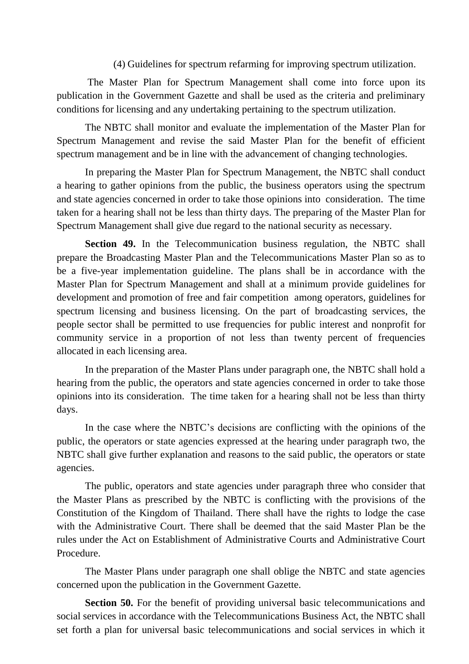(4) Guidelines for spectrum refarming for improving spectrum utilization.

The Master Plan for Spectrum Management shall come into force upon its publication in the Government Gazette and shall be used as the criteria and preliminary conditions for licensing and any undertaking pertaining to the spectrum utilization.

The NBTC shall monitor and evaluate the implementation of the Master Plan for Spectrum Management and revise the said Master Plan for the benefit of efficient spectrum management and be in line with the advancement of changing technologies.

In preparing the Master Plan for Spectrum Management, the NBTC shall conduct a hearing to gather opinions from the public, the business operators using the spectrum and state agencies concerned in order to take those opinions into consideration. The time taken for a hearing shall not be less than thirty days. The preparing of the Master Plan for Spectrum Management shall give due regard to the national security as necessary.

**Section 49.** In the Telecommunication business regulation, the NBTC shall prepare the Broadcasting Master Plan and the Telecommunications Master Plan so as to be a five-year implementation guideline. The plans shall be in accordance with the Master Plan for Spectrum Management and shall at a minimum provide guidelines for development and promotion of free and fair competition among operators, guidelines for spectrum licensing and business licensing. On the part of broadcasting services, the people sector shall be permitted to use frequencies for public interest and nonprofit for community service in a proportion of not less than twenty percent of frequencies allocated in each licensing area.

In the preparation of the Master Plans under paragraph one, the NBTC shall hold a hearing from the public, the operators and state agencies concerned in order to take those opinions into its consideration. The time taken for a hearing shall not be less than thirty days.

In the case where the NBTC's decisions are conflicting with the opinions of the public, the operators or state agencies expressed at the hearing under paragraph two, the NBTC shall give further explanation and reasons to the said public, the operators or state agencies.

The public, operators and state agencies under paragraph three who consider that the Master Plans as prescribed by the NBTC is conflicting with the provisions of the Constitution of the Kingdom of Thailand. There shall have the rights to lodge the case with the Administrative Court. There shall be deemed that the said Master Plan be the rules under the Act on Establishment of Administrative Courts and Administrative Court Procedure.

The Master Plans under paragraph one shall oblige the NBTC and state agencies concerned upon the publication in the Government Gazette.

**Section 50.** For the benefit of providing universal basic telecommunications and social services in accordance with the Telecommunications Business Act, the NBTC shall set forth a plan for universal basic telecommunications and social services in which it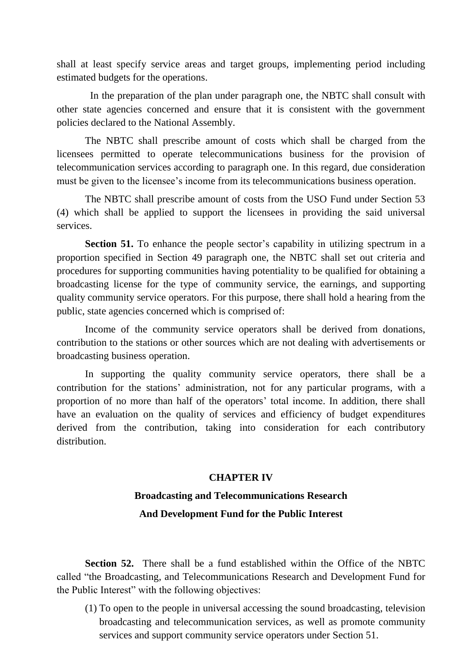shall at least specify service areas and target groups, implementing period including estimated budgets for the operations.

 In the preparation of the plan under paragraph one, the NBTC shall consult with other state agencies concerned and ensure that it is consistent with the government policies declared to the National Assembly.

The NBTC shall prescribe amount of costs which shall be charged from the licensees permitted to operate telecommunications business for the provision of telecommunication services according to paragraph one. In this regard, due consideration must be given to the licensee's income from its telecommunications business operation.

The NBTC shall prescribe amount of costs from the USO Fund under Section 53 (4) which shall be applied to support the licensees in providing the said universal services.

**Section 51.** To enhance the people sector's capability in utilizing spectrum in a proportion specified in Section 49 paragraph one, the NBTC shall set out criteria and procedures for supporting communities having potentiality to be qualified for obtaining a broadcasting license for the type of community service, the earnings, and supporting quality community service operators. For this purpose, there shall hold a hearing from the public, state agencies concerned which is comprised of:

Income of the community service operators shall be derived from donations, contribution to the stations or other sources which are not dealing with advertisements or broadcasting business operation.

In supporting the quality community service operators, there shall be a contribution for the stations' administration, not for any particular programs, with a proportion of no more than half of the operators' total income. In addition, there shall have an evaluation on the quality of services and efficiency of budget expenditures derived from the contribution, taking into consideration for each contributory distribution.

## **CHAPTER IV**

# **Broadcasting and Telecommunications Research And Development Fund for the Public Interest**

**Section 52.** There shall be a fund established within the Office of the NBTC called "the Broadcasting, and Telecommunications Research and Development Fund for the Public Interest" with the following objectives:

(1) To open to the people in universal accessing the sound broadcasting, television broadcasting and telecommunication services, as well as promote community services and support community service operators under Section 51.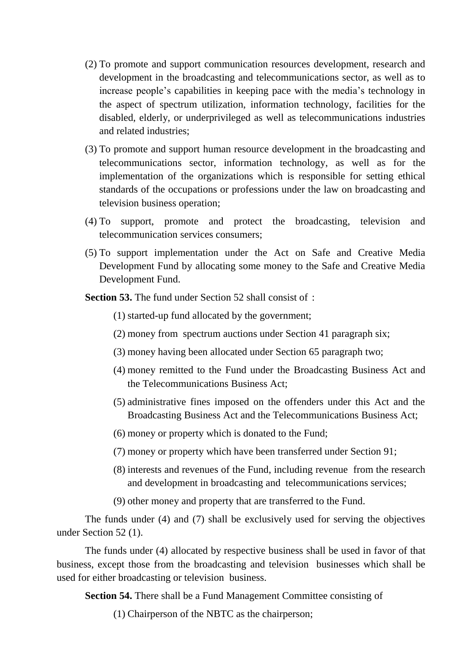- (2) To promote and support communication resources development, research and development in the broadcasting and telecommunications sector, as well as to increase people's capabilities in keeping pace with the media's technology in the aspect of spectrum utilization, information technology, facilities for the disabled, elderly, or underprivileged as well as telecommunications industries and related industries;
- (3) To promote and support human resource development in the broadcasting and telecommunications sector, information technology, as well as for the implementation of the organizations which is responsible for setting ethical standards of the occupations or professions under the law on broadcasting and television business operation;
- (4) To support, promote and protect the broadcasting, television and telecommunication services consumers;
- (5) To support implementation under the Act on Safe and Creative Media Development Fund by allocating some money to the Safe and Creative Media Development Fund.

**Section 53.** The fund under Section 52 shall consist of :

(1) started-up fund allocated by the government;

- (2) money from spectrum auctions under Section 41 paragraph six;
- (3) money having been allocated under Section 65 paragraph two;
- (4) money remitted to the Fund under the Broadcasting Business Act and the Telecommunications Business Act;
- (5) administrative fines imposed on the offenders under this Act and the Broadcasting Business Act and the Telecommunications Business Act;
- (6) money or property which is donated to the Fund;
- (7) money or property which have been transferred under Section 91;
- (8) interests and revenues of the Fund, including revenue from the research and development in broadcasting and telecommunications services;
- (9) other money and property that are transferred to the Fund.

The funds under (4) and (7) shall be exclusively used for serving the objectives under Section 52 (1).

The funds under (4) allocated by respective business shall be used in favor of that business, except those from the broadcasting and television businesses which shall be used for either broadcasting or television business.

**Section 54.** There shall be a Fund Management Committee consisting of

(1) Chairperson of the NBTC as the chairperson;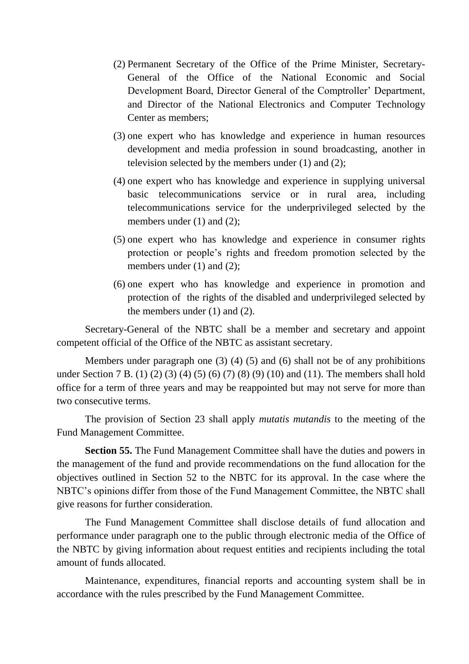- (2) Permanent Secretary of the Office of the Prime Minister, Secretary-General of the Office of the National Economic and Social Development Board, Director General of the Comptroller' Department, and Director of the National Electronics and Computer Technology Center as members;
- (3) one expert who has knowledge and experience in human resources development and media profession in sound broadcasting, another in television selected by the members under (1) and (2);
- (4) one expert who has knowledge and experience in supplying universal basic telecommunications service or in rural area, including telecommunications service for the underprivileged selected by the members under (1) and (2);
- (5) one expert who has knowledge and experience in consumer rights protection or people's rights and freedom promotion selected by the members under (1) and (2);
- (6) one expert who has knowledge and experience in promotion and protection of the rights of the disabled and underprivileged selected by the members under (1) and (2).

Secretary-General of the NBTC shall be a member and secretary and appoint competent official of the Office of the NBTC as assistant secretary.

Members under paragraph one (3) (4) (5) and (6) shall not be of any prohibitions under Section 7 B. (1) (2) (3) (4) (5) (6) (7) (8) (9) (10) and (11). The members shall hold office for a term of three years and may be reappointed but may not serve for more than two consecutive terms.

The provision of Section 23 shall apply *mutatis mutandis* to the meeting of the Fund Management Committee.

**Section 55.** The Fund Management Committee shall have the duties and powers in the management of the fund and provide recommendations on the fund allocation for the objectives outlined in Section 52 to the NBTC for its approval. In the case where the NBTC's opinions differ from those of the Fund Management Committee, the NBTC shall give reasons for further consideration.

The Fund Management Committee shall disclose details of fund allocation and performance under paragraph one to the public through electronic media of the Office of the NBTC by giving information about request entities and recipients including the total amount of funds allocated.

Maintenance, expenditures, financial reports and accounting system shall be in accordance with the rules prescribed by the Fund Management Committee.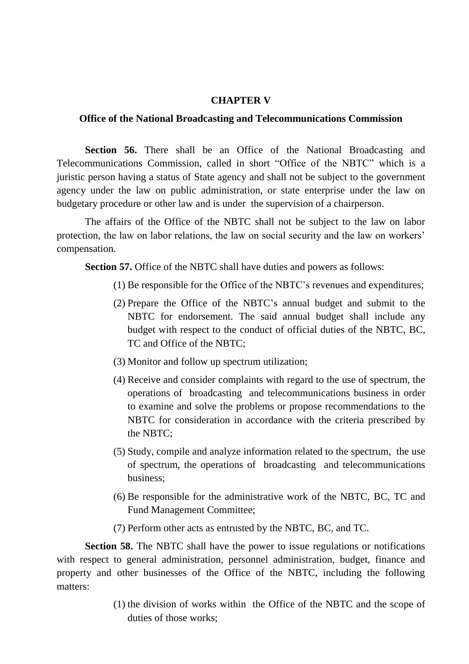#### **CHAPTER V**

## **Office of the National Broadcasting and Telecommunications Commission**

**Section 56.** There shall be an Office of the National Broadcasting and Telecommunications Commission, called in short "Office of the NBTC" which is a juristic person having a status of State agency and shall not be subject to the government agency under the law on public administration, or state enterprise under the law on budgetary procedure or other law and is under the supervision of a chairperson.

The affairs of the Office of the NBTC shall not be subject to the law on labor protection, the law on labor relations, the law on social security and the law on workers' compensation.

**Section 57.** Office of the NBTC shall have duties and powers as follows:

- (1) Be responsible for the Office of the NBTC's revenues and expenditures;
- (2) Prepare the Office of the NBTC's annual budget and submit to the NBTC for endorsement. The said annual budget shall include any budget with respect to the conduct of official duties of the NBTC, BC, TC and Office of the NBTC;
- (3) Monitor and follow up spectrum utilization;
- (4) Receive and consider complaints with regard to the use of spectrum, the operations of broadcasting and telecommunications business in order to examine and solve the problems or propose recommendations to the NBTC for consideration in accordance with the criteria prescribed by the NBTC;
- (5) Study, compile and analyze information related to the spectrum, the use of spectrum, the operations of broadcasting and telecommunications business;
- (6) Be responsible for the administrative work of the NBTC, BC, TC and Fund Management Committee;
- (7) Perform other acts as entrusted by the NBTC, BC, and TC.

**Section 58.** The NBTC shall have the power to issue regulations or notifications with respect to general administration, personnel administration, budget, finance and property and other businesses of the Office of the NBTC, including the following matters:

> (1) the division of works within the Office of the NBTC and the scope of duties of those works;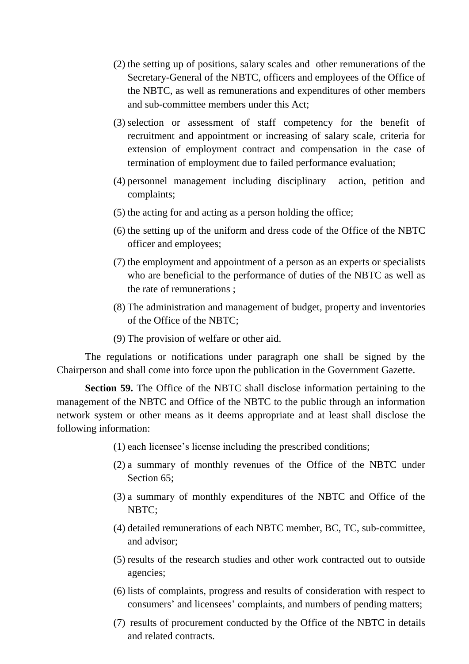- (2) the setting up of positions, salary scales and other remunerations of the Secretary-General of the NBTC, officers and employees of the Office of the NBTC, as well as remunerations and expenditures of other members and sub-committee members under this Act;
- (3) selection or assessment of staff competency for the benefit of recruitment and appointment or increasing of salary scale, criteria for extension of employment contract and compensation in the case of termination of employment due to failed performance evaluation;
- (4) personnel management including disciplinary action, petition and complaints;
- (5) the acting for and acting as a person holding the office;
- (6) the setting up of the uniform and dress code of the Office of the NBTC officer and employees;
- (7) the employment and appointment of a person as an experts or specialists who are beneficial to the performance of duties of the NBTC as well as the rate of remunerations ;
- (8) The administration and management of budget, property and inventories of the Office of the NBTC;
- (9) The provision of welfare or other aid.

The regulations or notifications under paragraph one shall be signed by the Chairperson and shall come into force upon the publication in the Government Gazette.

**Section 59.** The Office of the NBTC shall disclose information pertaining to the management of the NBTC and Office of the NBTC to the public through an information network system or other means as it deems appropriate and at least shall disclose the following information:

- (1) each licensee's license including the prescribed conditions;
- (2) a summary of monthly revenues of the Office of the NBTC under Section 65:
- (3) a summary of monthly expenditures of the NBTC and Office of the NBTC;
- (4) detailed remunerations of each NBTC member, BC, TC, sub-committee, and advisor;
- (5) results of the research studies and other work contracted out to outside agencies;
- (6) lists of complaints, progress and results of consideration with respect to consumers' and licensees' complaints, and numbers of pending matters;
- (7) results of procurement conducted by the Office of the NBTC in details and related contracts.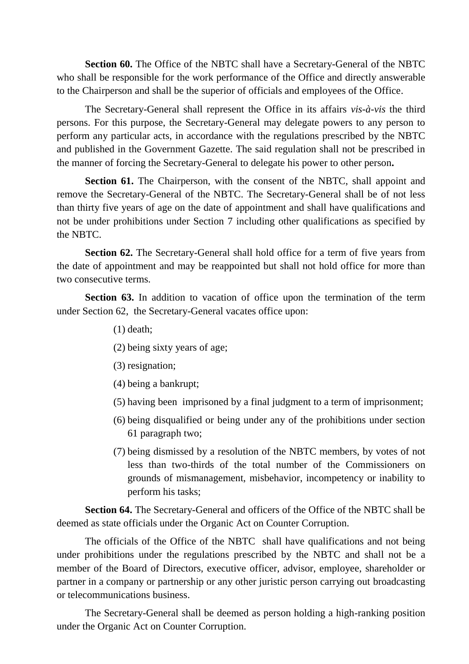**Section 60.** The Office of the NBTC shall have a Secretary-General of the NBTC who shall be responsible for the work performance of the Office and directly answerable to the Chairperson and shall be the superior of officials and employees of the Office.

The Secretary-General shall represent the Office in its affairs *vis-à-vis* the third persons. For this purpose, the Secretary-General may delegate powers to any person to perform any particular acts, in accordance with the regulations prescribed by the NBTC and published in the Government Gazette. The said regulation shall not be prescribed in the manner of forcing the Secretary-General to delegate his power to other person**.**

**Section 61.** The Chairperson, with the consent of the NBTC, shall appoint and remove the Secretary-General of the NBTC. The Secretary-General shall be of not less than thirty five years of age on the date of appointment and shall have qualifications and not be under prohibitions under Section 7 including other qualifications as specified by the NBTC.

**Section 62.** The Secretary-General shall hold office for a term of five years from the date of appointment and may be reappointed but shall not hold office for more than two consecutive terms.

**Section 63.** In addition to vacation of office upon the termination of the term under Section 62, the Secretary-General vacates office upon:

- (1) death;
- (2) being sixty years of age;
- (3) resignation;
- (4) being a bankrupt;
- (5) having been imprisoned by a final judgment to a term of imprisonment;
- (6) being disqualified or being under any of the prohibitions under section 61 paragraph two;
- (7) being dismissed by a resolution of the NBTC members, by votes of not less than two-thirds of the total number of the Commissioners on grounds of mismanagement, misbehavior, incompetency or inability to perform his tasks;

**Section 64.** The Secretary-General and officers of the Office of the NBTC shall be deemed as state officials under the Organic Act on Counter Corruption.

The officials of the Office of the NBTC shall have qualifications and not being under prohibitions under the regulations prescribed by the NBTC and shall not be a member of the Board of Directors, executive officer, advisor, employee, shareholder or partner in a company or partnership or any other juristic person carrying out broadcasting or telecommunications business.

The Secretary-General shall be deemed as person holding a high-ranking position under the Organic Act on Counter Corruption.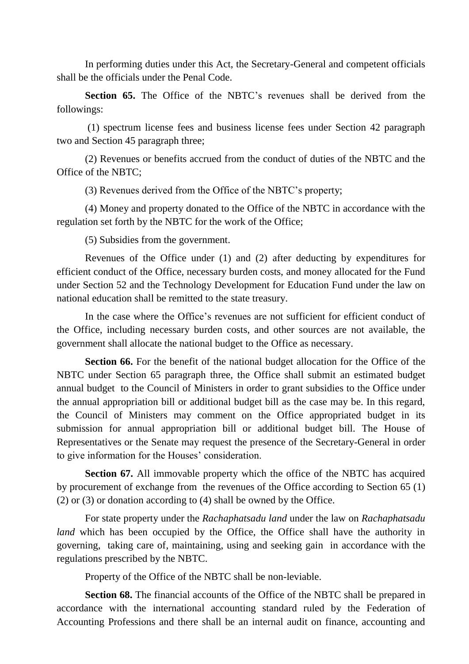In performing duties under this Act, the Secretary-General and competent officials shall be the officials under the Penal Code.

**Section 65.** The Office of the NBTC's revenues shall be derived from the followings:

(1) spectrum license fees and business license fees under Section 42 paragraph two and Section 45 paragraph three;

(2) Revenues or benefits accrued from the conduct of duties of the NBTC and the Office of the NBTC;

(3) Revenues derived from the Office of the NBTC's property;

(4) Money and property donated to the Office of the NBTC in accordance with the regulation set forth by the NBTC for the work of the Office;

(5) Subsidies from the government.

Revenues of the Office under (1) and (2) after deducting by expenditures for efficient conduct of the Office, necessary burden costs, and money allocated for the Fund under Section 52 and the Technology Development for Education Fund under the law on national education shall be remitted to the state treasury.

In the case where the Office's revenues are not sufficient for efficient conduct of the Office, including necessary burden costs, and other sources are not available, the government shall allocate the national budget to the Office as necessary.

**Section 66.** For the benefit of the national budget allocation for the Office of the NBTC under Section 65 paragraph three, the Office shall submit an estimated budget annual budget to the Council of Ministers in order to grant subsidies to the Office under the annual appropriation bill or additional budget bill as the case may be. In this regard, the Council of Ministers may comment on the Office appropriated budget in its submission for annual appropriation bill or additional budget bill. The House of Representatives or the Senate may request the presence of the Secretary-General in order to give information for the Houses' consideration.

**Section 67.** All immovable property which the office of the NBTC has acquired by procurement of exchange from the revenues of the Office according to Section 65 (1) (2) or (3) or donation according to (4) shall be owned by the Office.

For state property under the *Rachaphatsadu land* under the law on *Rachaphatsadu land* which has been occupied by the Office, the Office shall have the authority in governing, taking care of, maintaining, using and seeking gain in accordance with the regulations prescribed by the NBTC.

Property of the Office of the NBTC shall be non-leviable.

**Section 68.** The financial accounts of the Office of the NBTC shall be prepared in accordance with the international accounting standard ruled by the Federation of Accounting Professions and there shall be an internal audit on finance, accounting and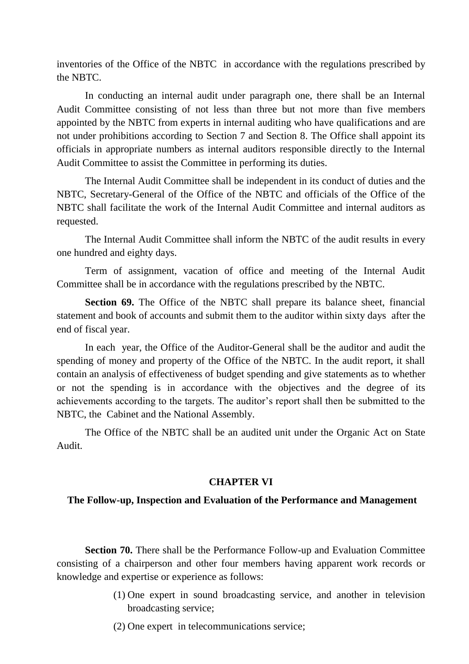inventories of the Office of the NBTC in accordance with the regulations prescribed by the NBTC.

In conducting an internal audit under paragraph one, there shall be an Internal Audit Committee consisting of not less than three but not more than five members appointed by the NBTC from experts in internal auditing who have qualifications and are not under prohibitions according to Section 7 and Section 8. The Office shall appoint its officials in appropriate numbers as internal auditors responsible directly to the Internal Audit Committee to assist the Committee in performing its duties.

The Internal Audit Committee shall be independent in its conduct of duties and the NBTC, Secretary-General of the Office of the NBTC and officials of the Office of the NBTC shall facilitate the work of the Internal Audit Committee and internal auditors as requested.

The Internal Audit Committee shall inform the NBTC of the audit results in every one hundred and eighty days.

Term of assignment, vacation of office and meeting of the Internal Audit Committee shall be in accordance with the regulations prescribed by the NBTC.

**Section 69.** The Office of the NBTC shall prepare its balance sheet, financial statement and book of accounts and submit them to the auditor within sixty days after the end of fiscal year.

In each year, the Office of the Auditor-General shall be the auditor and audit the spending of money and property of the Office of the NBTC. In the audit report, it shall contain an analysis of effectiveness of budget spending and give statements as to whether or not the spending is in accordance with the objectives and the degree of its achievements according to the targets. The auditor's report shall then be submitted to the NBTC, the Cabinet and the National Assembly.

The Office of the NBTC shall be an audited unit under the Organic Act on State Audit.

# **CHAPTER VI**

# **The Follow-up, Inspection and Evaluation of the Performance and Management**

**Section 70.** There shall be the Performance Follow-up and Evaluation Committee consisting of a chairperson and other four members having apparent work records or knowledge and expertise or experience as follows:

- (1) One expert in sound broadcasting service, and another in television broadcasting service;
- (2) One expert in telecommunications service;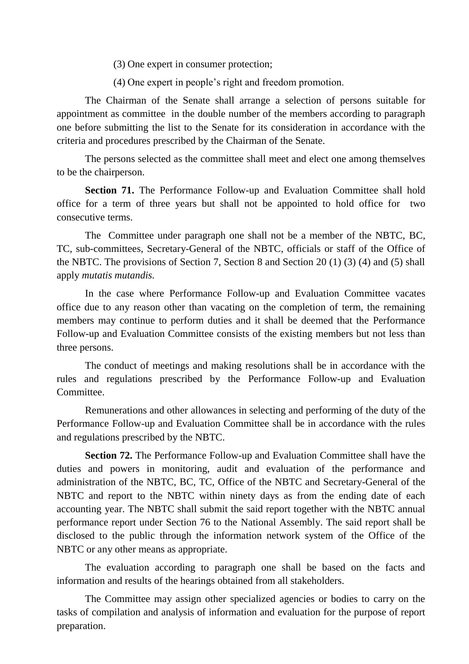- (3) One expert in consumer protection;
- (4) One expert in people's right and freedom promotion.

The Chairman of the Senate shall arrange a selection of persons suitable for appointment as committee in the double number of the members according to paragraph one before submitting the list to the Senate for its consideration in accordance with the criteria and procedures prescribed by the Chairman of the Senate.

The persons selected as the committee shall meet and elect one among themselves to be the chairperson.

**Section 71.** The Performance Follow-up and Evaluation Committee shall hold office for a term of three years but shall not be appointed to hold office for two consecutive terms.

The Committee under paragraph one shall not be a member of the NBTC, BC, TC, sub-committees, Secretary-General of the NBTC, officials or staff of the Office of the NBTC. The provisions of Section 7, Section 8 and Section 20 (1) (3) (4) and (5) shall apply *mutatis mutandis.*

In the case where Performance Follow-up and Evaluation Committee vacates office due to any reason other than vacating on the completion of term, the remaining members may continue to perform duties and it shall be deemed that the Performance Follow-up and Evaluation Committee consists of the existing members but not less than three persons.

The conduct of meetings and making resolutions shall be in accordance with the rules and regulations prescribed by the Performance Follow-up and Evaluation Committee.

Remunerations and other allowances in selecting and performing of the duty of the Performance Follow-up and Evaluation Committee shall be in accordance with the rules and regulations prescribed by the NBTC.

**Section 72.** The Performance Follow-up and Evaluation Committee shall have the duties and powers in monitoring, audit and evaluation of the performance and administration of the NBTC, BC, TC, Office of the NBTC and Secretary-General of the NBTC and report to the NBTC within ninety days as from the ending date of each accounting year. The NBTC shall submit the said report together with the NBTC annual performance report under Section 76 to the National Assembly. The said report shall be disclosed to the public through the information network system of the Office of the NBTC or any other means as appropriate.

The evaluation according to paragraph one shall be based on the facts and information and results of the hearings obtained from all stakeholders.

The Committee may assign other specialized agencies or bodies to carry on the tasks of compilation and analysis of information and evaluation for the purpose of report preparation.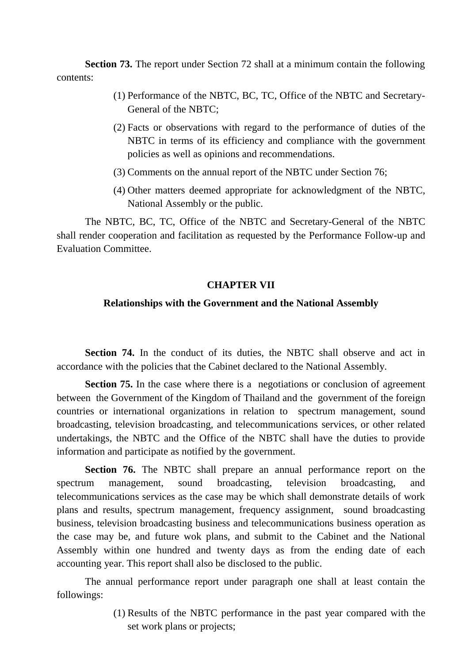**Section 73.** The report under Section 72 shall at a minimum contain the following contents:

- (1) Performance of the NBTC, BC, TC, Office of the NBTC and Secretary-General of the NBTC;
- (2) Facts or observations with regard to the performance of duties of the NBTC in terms of its efficiency and compliance with the government policies as well as opinions and recommendations.
- (3) Comments on the annual report of the NBTC under Section 76;
- (4) Other matters deemed appropriate for acknowledgment of the NBTC, National Assembly or the public.

The NBTC, BC, TC, Office of the NBTC and Secretary-General of the NBTC shall render cooperation and facilitation as requested by the Performance Follow-up and Evaluation Committee.

# **CHAPTER VII**

# **Relationships with the Government and the National Assembly**

**Section 74.** In the conduct of its duties, the NBTC shall observe and act in accordance with the policies that the Cabinet declared to the National Assembly.

**Section 75.** In the case where there is a negotiations or conclusion of agreement between the Government of the Kingdom of Thailand and the government of the foreign countries or international organizations in relation to spectrum management, sound broadcasting, television broadcasting, and telecommunications services, or other related undertakings, the NBTC and the Office of the NBTC shall have the duties to provide information and participate as notified by the government.

**Section 76.** The NBTC shall prepare an annual performance report on the spectrum management, sound broadcasting, television broadcasting, and telecommunications services as the case may be which shall demonstrate details of work plans and results, spectrum management, frequency assignment, sound broadcasting business, television broadcasting business and telecommunications business operation as the case may be, and future wok plans, and submit to the Cabinet and the National Assembly within one hundred and twenty days as from the ending date of each accounting year. This report shall also be disclosed to the public.

The annual performance report under paragraph one shall at least contain the followings:

> (1) Results of the NBTC performance in the past year compared with the set work plans or projects: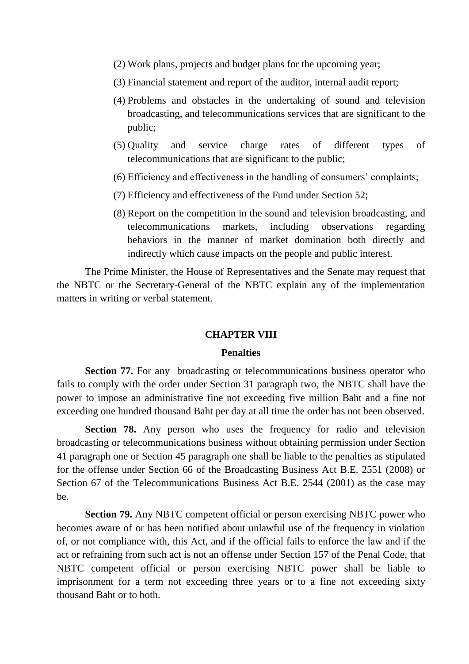- (2) Work plans, projects and budget plans for the upcoming year;
- (3) Financial statement and report of the auditor, internal audit report;
- (4) Problems and obstacles in the undertaking of sound and television broadcasting, and telecommunications services that are significant to the public;
- (5) Quality and service charge rates of different types of telecommunications that are significant to the public;
- (6) Efficiency and effectiveness in the handling of consumers' complaints;
- (7) Efficiency and effectiveness of the Fund under Section 52;
- (8) Report on the competition in the sound and television broadcasting, and telecommunications markets, including observations regarding behaviors in the manner of market domination both directly and indirectly which cause impacts on the people and public interest.

The Prime Minister, the House of Representatives and the Senate may request that the NBTC or the Secretary-General of the NBTC explain any of the implementation matters in writing or verbal statement.

#### **CHAPTER VIII**

## **Penalties**

**Section 77.** For any broadcasting or telecommunications business operator who fails to comply with the order under Section 31 paragraph two, the NBTC shall have the power to impose an administrative fine not exceeding five million Baht and a fine not exceeding one hundred thousand Baht per day at all time the order has not been observed.

**Section 78.** Any person who uses the frequency for radio and television broadcasting or telecommunications business without obtaining permission under Section 41 paragraph one or Section 45 paragraph one shall be liable to the penalties as stipulated for the offense under Section 66 of the Broadcasting Business Act B.E. 2551 (2008) or Section 67 of the Telecommunications Business Act B.E. 2544 (2001) as the case may be.

**Section 79.** Any NBTC competent official or person exercising NBTC power who becomes aware of or has been notified about unlawful use of the frequency in violation of, or not compliance with, this Act, and if the official fails to enforce the law and if the act or refraining from such act is not an offense under Section 157 of the Penal Code, that NBTC competent official or person exercising NBTC power shall be liable to imprisonment for a term not exceeding three years or to a fine not exceeding sixty thousand Baht or to both.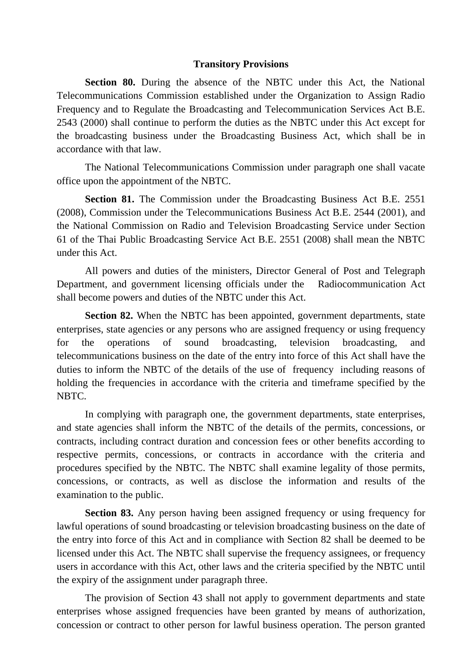#### **Transitory Provisions**

**Section 80.** During the absence of the NBTC under this Act, the National Telecommunications Commission established under the Organization to Assign Radio Frequency and to Regulate the Broadcasting and Telecommunication Services Act B.E. 2543 (2000) shall continue to perform the duties as the NBTC under this Act except for the broadcasting business under the Broadcasting Business Act, which shall be in accordance with that law.

The National Telecommunications Commission under paragraph one shall vacate office upon the appointment of the NBTC.

**Section 81.** The Commission under the Broadcasting Business Act B.E. 2551 (2008), Commission under the Telecommunications Business Act B.E. 2544 (2001), and the National Commission on Radio and Television Broadcasting Service under Section 61 of the Thai Public Broadcasting Service Act B.E. 2551 (2008) shall mean the NBTC under this Act.

All powers and duties of the ministers, Director General of Post and Telegraph Department, and government licensing officials under the Radiocommunication Act shall become powers and duties of the NBTC under this Act.

**Section 82.** When the NBTC has been appointed, government departments, state enterprises, state agencies or any persons who are assigned frequency or using frequency for the operations of sound broadcasting, television broadcasting, and telecommunications business on the date of the entry into force of this Act shall have the duties to inform the NBTC of the details of the use of frequency including reasons of holding the frequencies in accordance with the criteria and timeframe specified by the NBTC.

In complying with paragraph one, the government departments, state enterprises, and state agencies shall inform the NBTC of the details of the permits, concessions, or contracts, including contract duration and concession fees or other benefits according to respective permits, concessions, or contracts in accordance with the criteria and procedures specified by the NBTC. The NBTC shall examine legality of those permits, concessions, or contracts, as well as disclose the information and results of the examination to the public.

**Section 83.** Any person having been assigned frequency or using frequency for lawful operations of sound broadcasting or television broadcasting business on the date of the entry into force of this Act and in compliance with Section 82 shall be deemed to be licensed under this Act. The NBTC shall supervise the frequency assignees, or frequency users in accordance with this Act, other laws and the criteria specified by the NBTC until the expiry of the assignment under paragraph three.

The provision of Section 43 shall not apply to government departments and state enterprises whose assigned frequencies have been granted by means of authorization, concession or contract to other person for lawful business operation. The person granted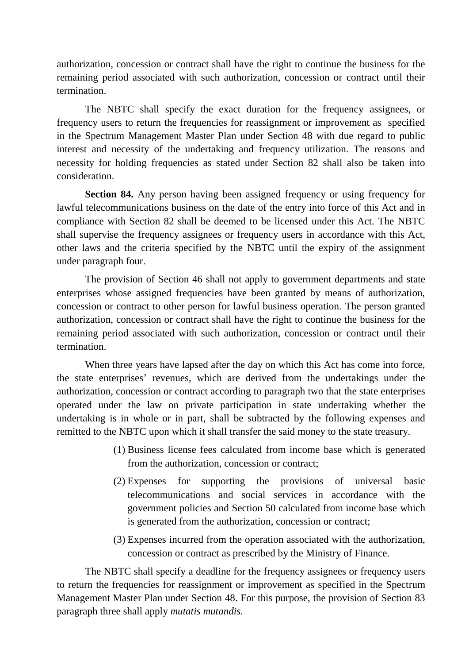authorization, concession or contract shall have the right to continue the business for the remaining period associated with such authorization, concession or contract until their termination.

The NBTC shall specify the exact duration for the frequency assignees, or frequency users to return the frequencies for reassignment or improvement as specified in the Spectrum Management Master Plan under Section 48 with due regard to public interest and necessity of the undertaking and frequency utilization. The reasons and necessity for holding frequencies as stated under Section 82 shall also be taken into consideration.

**Section 84.** Any person having been assigned frequency or using frequency for lawful telecommunications business on the date of the entry into force of this Act and in compliance with Section 82 shall be deemed to be licensed under this Act. The NBTC shall supervise the frequency assignees or frequency users in accordance with this Act, other laws and the criteria specified by the NBTC until the expiry of the assignment under paragraph four.

The provision of Section 46 shall not apply to government departments and state enterprises whose assigned frequencies have been granted by means of authorization, concession or contract to other person for lawful business operation. The person granted authorization, concession or contract shall have the right to continue the business for the remaining period associated with such authorization, concession or contract until their termination.

When three years have lapsed after the day on which this Act has come into force, the state enterprises' revenues, which are derived from the undertakings under the authorization, concession or contract according to paragraph two that the state enterprises operated under the law on private participation in state undertaking whether the undertaking is in whole or in part, shall be subtracted by the following expenses and remitted to the NBTC upon which it shall transfer the said money to the state treasury.

- (1) Business license fees calculated from income base which is generated from the authorization, concession or contract;
- (2) Expenses for supporting the provisions of universal basic telecommunications and social services in accordance with the government policies and Section 50 calculated from income base which is generated from the authorization, concession or contract;
- (3) Expenses incurred from the operation associated with the authorization, concession or contract as prescribed by the Ministry of Finance.

The NBTC shall specify a deadline for the frequency assignees or frequency users to return the frequencies for reassignment or improvement as specified in the Spectrum Management Master Plan under Section 48. For this purpose, the provision of Section 83 paragraph three shall apply *mutatis mutandis.*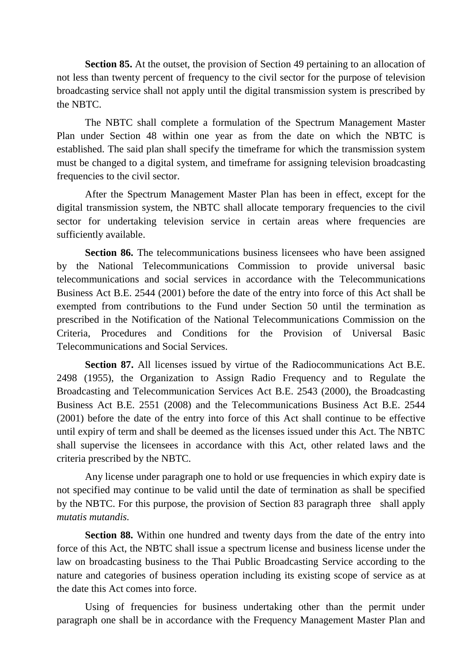**Section 85.** At the outset, the provision of Section 49 pertaining to an allocation of not less than twenty percent of frequency to the civil sector for the purpose of television broadcasting service shall not apply until the digital transmission system is prescribed by the NBTC.

The NBTC shall complete a formulation of the Spectrum Management Master Plan under Section 48 within one year as from the date on which the NBTC is established. The said plan shall specify the timeframe for which the transmission system must be changed to a digital system, and timeframe for assigning television broadcasting frequencies to the civil sector.

After the Spectrum Management Master Plan has been in effect, except for the digital transmission system, the NBTC shall allocate temporary frequencies to the civil sector for undertaking television service in certain areas where frequencies are sufficiently available.

**Section 86.** The telecommunications business licensees who have been assigned by the National Telecommunications Commission to provide universal basic telecommunications and social services in accordance with the Telecommunications Business Act B.E. 2544 (2001) before the date of the entry into force of this Act shall be exempted from contributions to the Fund under Section 50 until the termination as prescribed in the Notification of the National Telecommunications Commission on the Criteria, Procedures and Conditions for the Provision of Universal Basic Telecommunications and Social Services.

**Section 87.** All licenses issued by virtue of the Radiocommunications Act B.E. 2498 (1955), the Organization to Assign Radio Frequency and to Regulate the Broadcasting and Telecommunication Services Act B.E. 2543 (2000), the Broadcasting Business Act B.E. 2551 (2008) and the Telecommunications Business Act B.E. 2544 (2001) before the date of the entry into force of this Act shall continue to be effective until expiry of term and shall be deemed as the licenses issued under this Act. The NBTC shall supervise the licensees in accordance with this Act, other related laws and the criteria prescribed by the NBTC.

Any license under paragraph one to hold or use frequencies in which expiry date is not specified may continue to be valid until the date of termination as shall be specified by the NBTC. For this purpose, the provision of Section 83 paragraph three shall apply *mutatis mutandis.*

**Section 88.** Within one hundred and twenty days from the date of the entry into force of this Act, the NBTC shall issue a spectrum license and business license under the law on broadcasting business to the Thai Public Broadcasting Service according to the nature and categories of business operation including its existing scope of service as at the date this Act comes into force.

Using of frequencies for business undertaking other than the permit under paragraph one shall be in accordance with the Frequency Management Master Plan and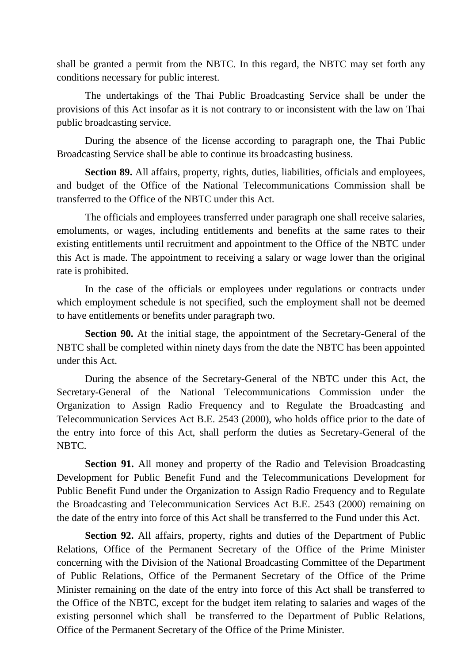shall be granted a permit from the NBTC. In this regard, the NBTC may set forth any conditions necessary for public interest.

The undertakings of the Thai Public Broadcasting Service shall be under the provisions of this Act insofar as it is not contrary to or inconsistent with the law on Thai public broadcasting service.

During the absence of the license according to paragraph one, the Thai Public Broadcasting Service shall be able to continue its broadcasting business.

**Section 89.** All affairs, property, rights, duties, liabilities, officials and employees, and budget of the Office of the National Telecommunications Commission shall be transferred to the Office of the NBTC under this Act.

The officials and employees transferred under paragraph one shall receive salaries, emoluments, or wages, including entitlements and benefits at the same rates to their existing entitlements until recruitment and appointment to the Office of the NBTC under this Act is made. The appointment to receiving a salary or wage lower than the original rate is prohibited.

In the case of the officials or employees under regulations or contracts under which employment schedule is not specified, such the employment shall not be deemed to have entitlements or benefits under paragraph two.

**Section 90.** At the initial stage, the appointment of the Secretary-General of the NBTC shall be completed within ninety days from the date the NBTC has been appointed under this Act.

During the absence of the Secretary-General of the NBTC under this Act, the Secretary-General of the National Telecommunications Commission under the Organization to Assign Radio Frequency and to Regulate the Broadcasting and Telecommunication Services Act B.E. 2543 (2000), who holds office prior to the date of the entry into force of this Act, shall perform the duties as Secretary-General of the NBTC.

**Section 91.** All money and property of the Radio and Television Broadcasting Development for Public Benefit Fund and the Telecommunications Development for Public Benefit Fund under the Organization to Assign Radio Frequency and to Regulate the Broadcasting and Telecommunication Services Act B.E. 2543 (2000) remaining on the date of the entry into force of this Act shall be transferred to the Fund under this Act.

**Section 92.** All affairs, property, rights and duties of the Department of Public Relations, Office of the Permanent Secretary of the Office of the Prime Minister concerning with the Division of the National Broadcasting Committee of the Department of Public Relations, Office of the Permanent Secretary of the Office of the Prime Minister remaining on the date of the entry into force of this Act shall be transferred to the Office of the NBTC, except for the budget item relating to salaries and wages of the existing personnel which shall be transferred to the Department of Public Relations, Office of the Permanent Secretary of the Office of the Prime Minister.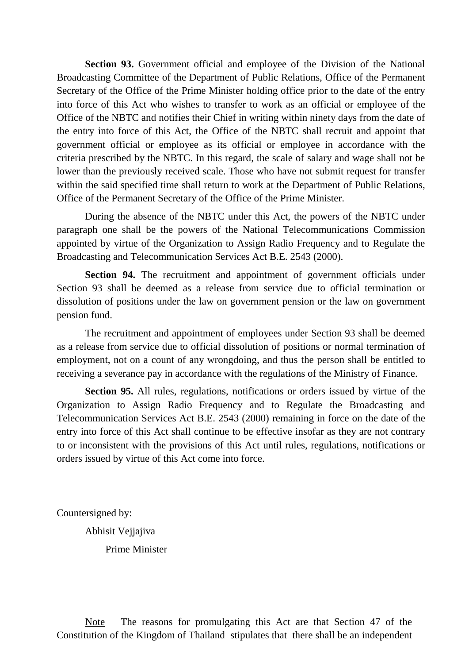**Section 93.** Government official and employee of the Division of the National Broadcasting Committee of the Department of Public Relations, Office of the Permanent Secretary of the Office of the Prime Minister holding office prior to the date of the entry into force of this Act who wishes to transfer to work as an official or employee of the Office of the NBTC and notifies their Chief in writing within ninety days from the date of the entry into force of this Act, the Office of the NBTC shall recruit and appoint that government official or employee as its official or employee in accordance with the criteria prescribed by the NBTC. In this regard, the scale of salary and wage shall not be lower than the previously received scale. Those who have not submit request for transfer within the said specified time shall return to work at the Department of Public Relations, Office of the Permanent Secretary of the Office of the Prime Minister.

During the absence of the NBTC under this Act, the powers of the NBTC under paragraph one shall be the powers of the National Telecommunications Commission appointed by virtue of the Organization to Assign Radio Frequency and to Regulate the Broadcasting and Telecommunication Services Act B.E. 2543 (2000).

**Section 94.** The recruitment and appointment of government officials under Section 93 shall be deemed as a release from service due to official termination or dissolution of positions under the law on government pension or the law on government pension fund.

The recruitment and appointment of employees under Section 93 shall be deemed as a release from service due to official dissolution of positions or normal termination of employment, not on a count of any wrongdoing, and thus the person shall be entitled to receiving a severance pay in accordance with the regulations of the Ministry of Finance.

**Section 95.** All rules, regulations, notifications or orders issued by virtue of the Organization to Assign Radio Frequency and to Regulate the Broadcasting and Telecommunication Services Act B.E. 2543 (2000) remaining in force on the date of the entry into force of this Act shall continue to be effective insofar as they are not contrary to or inconsistent with the provisions of this Act until rules, regulations, notifications or orders issued by virtue of this Act come into force.

Countersigned by:

Abhisit Vejjajiva Prime Minister